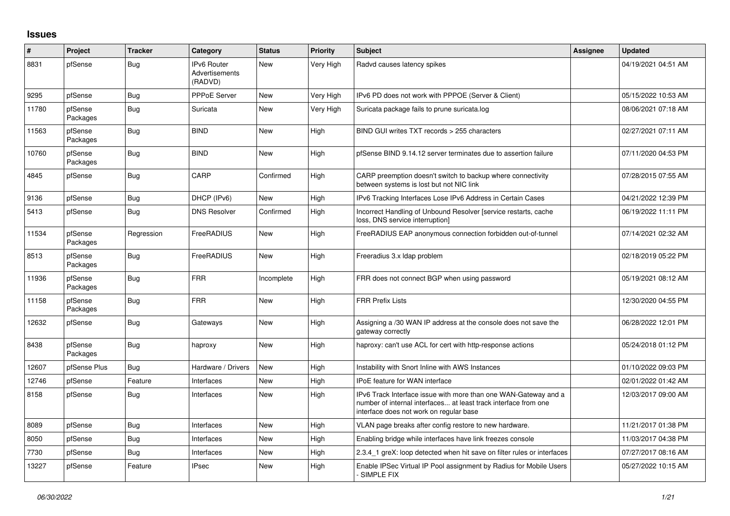## **Issues**

| ∦     | Project             | <b>Tracker</b> | Category                                        | <b>Status</b> | <b>Priority</b> | <b>Subject</b>                                                                                                                                                                | Assignee | <b>Updated</b>      |
|-------|---------------------|----------------|-------------------------------------------------|---------------|-----------------|-------------------------------------------------------------------------------------------------------------------------------------------------------------------------------|----------|---------------------|
| 8831  | pfSense             | Bug            | <b>IPv6 Router</b><br>Advertisements<br>(RADVD) | New           | Very High       | Radvd causes latency spikes                                                                                                                                                   |          | 04/19/2021 04:51 AM |
| 9295  | pfSense             | Bug            | <b>PPPoE Server</b>                             | <b>New</b>    | Very High       | IPv6 PD does not work with PPPOE (Server & Client)                                                                                                                            |          | 05/15/2022 10:53 AM |
| 11780 | pfSense<br>Packages | <b>Bug</b>     | Suricata                                        | New           | Very High       | Suricata package fails to prune suricata.log                                                                                                                                  |          | 08/06/2021 07:18 AM |
| 11563 | pfSense<br>Packages | Bug            | <b>BIND</b>                                     | New           | High            | BIND GUI writes TXT records > 255 characters                                                                                                                                  |          | 02/27/2021 07:11 AM |
| 10760 | pfSense<br>Packages | Bug            | <b>BIND</b>                                     | New           | High            | pfSense BIND 9.14.12 server terminates due to assertion failure                                                                                                               |          | 07/11/2020 04:53 PM |
| 4845  | pfSense             | Bug            | CARP                                            | Confirmed     | High            | CARP preemption doesn't switch to backup where connectivity<br>between systems is lost but not NIC link                                                                       |          | 07/28/2015 07:55 AM |
| 9136  | pfSense             | Bug            | DHCP (IPv6)                                     | New           | High            | IPv6 Tracking Interfaces Lose IPv6 Address in Certain Cases                                                                                                                   |          | 04/21/2022 12:39 PM |
| 5413  | pfSense             | Bug            | <b>DNS Resolver</b>                             | Confirmed     | High            | Incorrect Handling of Unbound Resolver [service restarts, cache<br>loss, DNS service interruption]                                                                            |          | 06/19/2022 11:11 PM |
| 11534 | pfSense<br>Packages | Regression     | FreeRADIUS                                      | New           | High            | FreeRADIUS EAP anonymous connection forbidden out-of-tunnel                                                                                                                   |          | 07/14/2021 02:32 AM |
| 8513  | pfSense<br>Packages | Bug            | FreeRADIUS                                      | New           | High            | Freeradius 3.x Idap problem                                                                                                                                                   |          | 02/18/2019 05:22 PM |
| 11936 | pfSense<br>Packages | Bug            | <b>FRR</b>                                      | Incomplete    | High            | FRR does not connect BGP when using password                                                                                                                                  |          | 05/19/2021 08:12 AM |
| 11158 | pfSense<br>Packages | Bug            | <b>FRR</b>                                      | New           | High            | <b>FRR Prefix Lists</b>                                                                                                                                                       |          | 12/30/2020 04:55 PM |
| 12632 | pfSense             | Bug            | Gateways                                        | New           | High            | Assigning a /30 WAN IP address at the console does not save the<br>gateway correctly                                                                                          |          | 06/28/2022 12:01 PM |
| 8438  | pfSense<br>Packages | <b>Bug</b>     | haproxy                                         | <b>New</b>    | High            | haproxy: can't use ACL for cert with http-response actions                                                                                                                    |          | 05/24/2018 01:12 PM |
| 12607 | pfSense Plus        | Bug            | Hardware / Drivers                              | New           | High            | Instability with Snort Inline with AWS Instances                                                                                                                              |          | 01/10/2022 09:03 PM |
| 12746 | pfSense             | Feature        | Interfaces                                      | New           | High            | <b>IPoE</b> feature for WAN interface                                                                                                                                         |          | 02/01/2022 01:42 AM |
| 8158  | pfSense             | Bug            | Interfaces                                      | New           | High            | IPv6 Track Interface issue with more than one WAN-Gateway and a<br>number of internal interfaces at least track interface from one<br>interface does not work on regular base |          | 12/03/2017 09:00 AM |
| 8089  | pfSense             | Bug            | Interfaces                                      | New           | High            | VLAN page breaks after config restore to new hardware.                                                                                                                        |          | 11/21/2017 01:38 PM |
| 8050  | pfSense             | Bug            | Interfaces                                      | New           | High            | Enabling bridge while interfaces have link freezes console                                                                                                                    |          | 11/03/2017 04:38 PM |
| 7730  | pfSense             | Bug            | Interfaces                                      | New           | High            | 2.3.4_1 greX: loop detected when hit save on filter rules or interfaces                                                                                                       |          | 07/27/2017 08:16 AM |
| 13227 | pfSense             | Feature        | <b>IPsec</b>                                    | New           | High            | Enable IPSec Virtual IP Pool assignment by Radius for Mobile Users<br><b>SIMPLE FIX</b>                                                                                       |          | 05/27/2022 10:15 AM |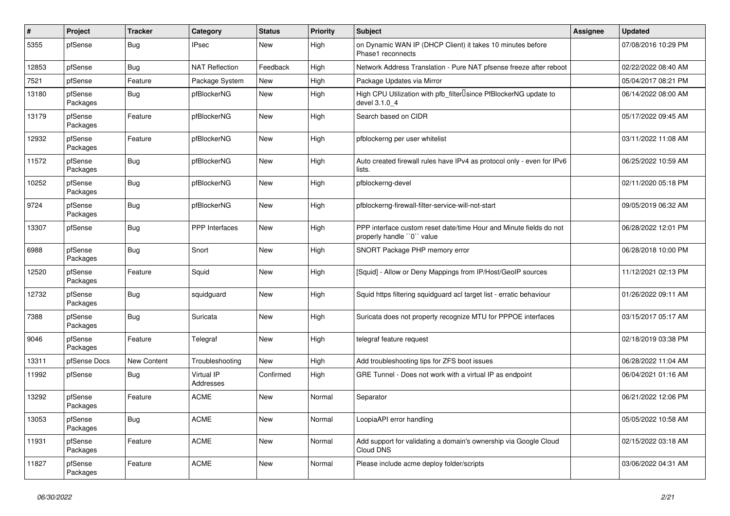| $\vert$ # | Project             | <b>Tracker</b> | Category                | <b>Status</b> | <b>Priority</b> | Subject                                                                                         | Assignee | <b>Updated</b>      |
|-----------|---------------------|----------------|-------------------------|---------------|-----------------|-------------------------------------------------------------------------------------------------|----------|---------------------|
| 5355      | pfSense             | Bug            | <b>IPsec</b>            | New           | High            | on Dynamic WAN IP (DHCP Client) it takes 10 minutes before<br>Phase1 reconnects                 |          | 07/08/2016 10:29 PM |
| 12853     | pfSense             | Bug            | <b>NAT Reflection</b>   | Feedback      | High            | Network Address Translation - Pure NAT pfsense freeze after reboot                              |          | 02/22/2022 08:40 AM |
| 7521      | pfSense             | Feature        | Package System          | New           | High            | Package Updates via Mirror                                                                      |          | 05/04/2017 08:21 PM |
| 13180     | pfSense<br>Packages | <b>Bug</b>     | pfBlockerNG             | New           | High            | High CPU Utilization with pfb_filter <sup>[]</sup> since PfBlockerNG update to<br>devel 3.1.0 4 |          | 06/14/2022 08:00 AM |
| 13179     | pfSense<br>Packages | Feature        | pfBlockerNG             | New           | High            | Search based on CIDR                                                                            |          | 05/17/2022 09:45 AM |
| 12932     | pfSense<br>Packages | Feature        | pfBlockerNG             | New           | High            | pfblockerng per user whitelist                                                                  |          | 03/11/2022 11:08 AM |
| 11572     | pfSense<br>Packages | Bug            | pfBlockerNG             | New           | High            | Auto created firewall rules have IPv4 as protocol only - even for IPv6<br>lists.                |          | 06/25/2022 10:59 AM |
| 10252     | pfSense<br>Packages | <b>Bug</b>     | pfBlockerNG             | New           | High            | pfblockerng-devel                                                                               |          | 02/11/2020 05:18 PM |
| 9724      | pfSense<br>Packages | Bug            | pfBlockerNG             | New           | High            | pfblockerng-firewall-filter-service-will-not-start                                              |          | 09/05/2019 06:32 AM |
| 13307     | pfSense             | Bug            | <b>PPP</b> Interfaces   | New           | High            | PPP interface custom reset date/time Hour and Minute fields do not<br>properly handle "0" value |          | 06/28/2022 12:01 PM |
| 6988      | pfSense<br>Packages | Bug            | Snort                   | New           | High            | SNORT Package PHP memory error                                                                  |          | 06/28/2018 10:00 PM |
| 12520     | pfSense<br>Packages | Feature        | Squid                   | New           | High            | [Squid] - Allow or Deny Mappings from IP/Host/GeoIP sources                                     |          | 11/12/2021 02:13 PM |
| 12732     | pfSense<br>Packages | Bug            | squidguard              | New           | High            | Squid https filtering squidguard acl target list - erratic behaviour                            |          | 01/26/2022 09:11 AM |
| 7388      | pfSense<br>Packages | Bug            | Suricata                | New           | High            | Suricata does not property recognize MTU for PPPOE interfaces                                   |          | 03/15/2017 05:17 AM |
| 9046      | pfSense<br>Packages | Feature        | Telegraf                | New           | High            | telegraf feature request                                                                        |          | 02/18/2019 03:38 PM |
| 13311     | pfSense Docs        | New Content    | Troubleshooting         | New           | High            | Add troubleshooting tips for ZFS boot issues                                                    |          | 06/28/2022 11:04 AM |
| 11992     | pfSense             | Bug            | Virtual IP<br>Addresses | Confirmed     | High            | GRE Tunnel - Does not work with a virtual IP as endpoint                                        |          | 06/04/2021 01:16 AM |
| 13292     | pfSense<br>Packages | Feature        | <b>ACME</b>             | New           | Normal          | Separator                                                                                       |          | 06/21/2022 12:06 PM |
| 13053     | pfSense<br>Packages | <b>Bug</b>     | <b>ACME</b>             | New           | Normal          | LoopiaAPI error handling                                                                        |          | 05/05/2022 10:58 AM |
| 11931     | pfSense<br>Packages | Feature        | <b>ACME</b>             | New           | Normal          | Add support for validating a domain's ownership via Google Cloud<br>Cloud DNS                   |          | 02/15/2022 03:18 AM |
| 11827     | pfSense<br>Packages | Feature        | ACME                    | New           | Normal          | Please include acme deploy folder/scripts                                                       |          | 03/06/2022 04:31 AM |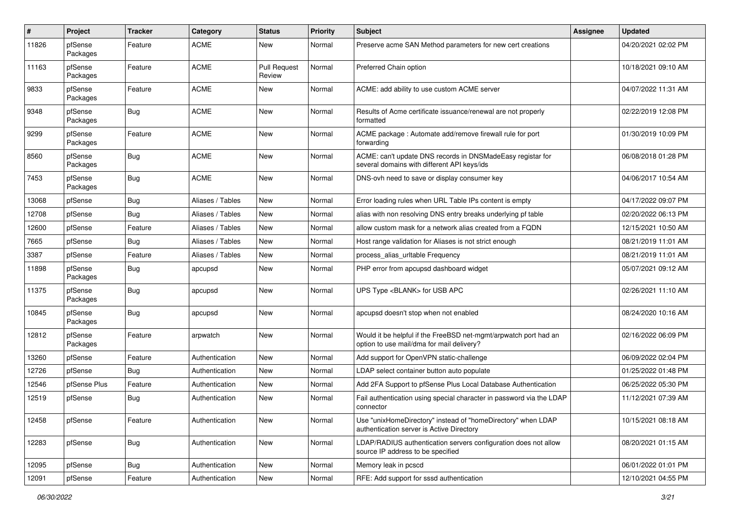| #     | Project             | <b>Tracker</b> | Category         | <b>Status</b>                 | <b>Priority</b> | <b>Subject</b>                                                                                                | <b>Assignee</b> | <b>Updated</b>      |
|-------|---------------------|----------------|------------------|-------------------------------|-----------------|---------------------------------------------------------------------------------------------------------------|-----------------|---------------------|
| 11826 | pfSense<br>Packages | Feature        | <b>ACME</b>      | New                           | Normal          | Preserve acme SAN Method parameters for new cert creations                                                    |                 | 04/20/2021 02:02 PM |
| 11163 | pfSense<br>Packages | Feature        | <b>ACME</b>      | <b>Pull Request</b><br>Review | Normal          | Preferred Chain option                                                                                        |                 | 10/18/2021 09:10 AM |
| 9833  | pfSense<br>Packages | Feature        | <b>ACME</b>      | New                           | Normal          | ACME: add ability to use custom ACME server                                                                   |                 | 04/07/2022 11:31 AM |
| 9348  | pfSense<br>Packages | Bug            | <b>ACME</b>      | New                           | Normal          | Results of Acme certificate issuance/renewal are not properly<br>formatted                                    |                 | 02/22/2019 12:08 PM |
| 9299  | pfSense<br>Packages | Feature        | <b>ACME</b>      | New                           | Normal          | ACME package : Automate add/remove firewall rule for port<br>forwarding                                       |                 | 01/30/2019 10:09 PM |
| 8560  | pfSense<br>Packages | Bug            | <b>ACME</b>      | New                           | Normal          | ACME: can't update DNS records in DNSMadeEasy registar for<br>several domains with different API keys/ids     |                 | 06/08/2018 01:28 PM |
| 7453  | pfSense<br>Packages | Bug            | <b>ACME</b>      | New                           | Normal          | DNS-ovh need to save or display consumer key                                                                  |                 | 04/06/2017 10:54 AM |
| 13068 | pfSense             | Bug            | Aliases / Tables | New                           | Normal          | Error loading rules when URL Table IPs content is empty                                                       |                 | 04/17/2022 09:07 PM |
| 12708 | pfSense             | <b>Bug</b>     | Aliases / Tables | New                           | Normal          | alias with non resolving DNS entry breaks underlying pf table                                                 |                 | 02/20/2022 06:13 PM |
| 12600 | pfSense             | Feature        | Aliases / Tables | New                           | Normal          | allow custom mask for a network alias created from a FQDN                                                     |                 | 12/15/2021 10:50 AM |
| 7665  | pfSense             | Bug            | Aliases / Tables | New                           | Normal          | Host range validation for Aliases is not strict enough                                                        |                 | 08/21/2019 11:01 AM |
| 3387  | pfSense             | Feature        | Aliases / Tables | New                           | Normal          | process_alias_urltable Frequency                                                                              |                 | 08/21/2019 11:01 AM |
| 11898 | pfSense<br>Packages | Bug            | apcupsd          | New                           | Normal          | PHP error from apcupsd dashboard widget                                                                       |                 | 05/07/2021 09:12 AM |
| 11375 | pfSense<br>Packages | Bug            | apcupsd          | New                           | Normal          | UPS Type <blank> for USB APC</blank>                                                                          |                 | 02/26/2021 11:10 AM |
| 10845 | pfSense<br>Packages | <b>Bug</b>     | apcupsd          | New                           | Normal          | apcupsd doesn't stop when not enabled                                                                         |                 | 08/24/2020 10:16 AM |
| 12812 | pfSense<br>Packages | Feature        | arpwatch         | New                           | Normal          | Would it be helpful if the FreeBSD net-mgmt/arpwatch port had an<br>option to use mail/dma for mail delivery? |                 | 02/16/2022 06:09 PM |
| 13260 | pfSense             | Feature        | Authentication   | New                           | Normal          | Add support for OpenVPN static-challenge                                                                      |                 | 06/09/2022 02:04 PM |
| 12726 | pfSense             | Bug            | Authentication   | New                           | Normal          | LDAP select container button auto populate                                                                    |                 | 01/25/2022 01:48 PM |
| 12546 | pfSense Plus        | Feature        | Authentication   | New                           | Normal          | Add 2FA Support to pfSense Plus Local Database Authentication                                                 |                 | 06/25/2022 05:30 PM |
| 12519 | pfSense             | Bug            | Authentication   | New                           | Normal          | Fail authentication using special character in password via the LDAP<br>connector                             |                 | 11/12/2021 07:39 AM |
| 12458 | pfSense             | Feature        | Authentication   | New                           | Normal          | Use "unixHomeDirectory" instead of "homeDirectory" when LDAP<br>authentication server is Active Directory     |                 | 10/15/2021 08:18 AM |
| 12283 | pfSense             | <b>Bug</b>     | Authentication   | New                           | Normal          | LDAP/RADIUS authentication servers configuration does not allow<br>source IP address to be specified          |                 | 08/20/2021 01:15 AM |
| 12095 | pfSense             | <b>Bug</b>     | Authentication   | New                           | Normal          | Memory leak in pcscd                                                                                          |                 | 06/01/2022 01:01 PM |
| 12091 | pfSense             | Feature        | Authentication   | New                           | Normal          | RFE: Add support for sssd authentication                                                                      |                 | 12/10/2021 04:55 PM |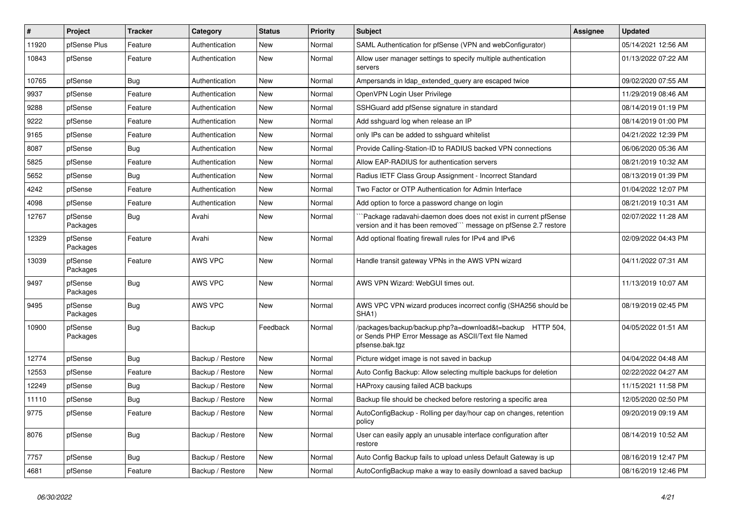| $\sharp$ | Project             | <b>Tracker</b> | Category         | <b>Status</b> | <b>Priority</b> | <b>Subject</b>                                                                                                                      | Assignee | <b>Updated</b>      |
|----------|---------------------|----------------|------------------|---------------|-----------------|-------------------------------------------------------------------------------------------------------------------------------------|----------|---------------------|
| 11920    | pfSense Plus        | Feature        | Authentication   | New           | Normal          | SAML Authentication for pfSense (VPN and webConfigurator)                                                                           |          | 05/14/2021 12:56 AM |
| 10843    | pfSense             | Feature        | Authentication   | New           | Normal          | Allow user manager settings to specify multiple authentication<br>servers                                                           |          | 01/13/2022 07:22 AM |
| 10765    | pfSense             | Bug            | Authentication   | New           | Normal          | Ampersands in Idap_extended_query are escaped twice                                                                                 |          | 09/02/2020 07:55 AM |
| 9937     | pfSense             | Feature        | Authentication   | New           | Normal          | OpenVPN Login User Privilege                                                                                                        |          | 11/29/2019 08:46 AM |
| 9288     | pfSense             | Feature        | Authentication   | New           | Normal          | SSHGuard add pfSense signature in standard                                                                                          |          | 08/14/2019 01:19 PM |
| 9222     | pfSense             | Feature        | Authentication   | New           | Normal          | Add sshguard log when release an IP                                                                                                 |          | 08/14/2019 01:00 PM |
| 9165     | pfSense             | Feature        | Authentication   | New           | Normal          | only IPs can be added to sshguard whitelist                                                                                         |          | 04/21/2022 12:39 PM |
| 8087     | pfSense             | Bug            | Authentication   | New           | Normal          | Provide Calling-Station-ID to RADIUS backed VPN connections                                                                         |          | 06/06/2020 05:36 AM |
| 5825     | pfSense             | Feature        | Authentication   | New           | Normal          | Allow EAP-RADIUS for authentication servers                                                                                         |          | 08/21/2019 10:32 AM |
| 5652     | pfSense             | Bug            | Authentication   | New           | Normal          | Radius IETF Class Group Assignment - Incorrect Standard                                                                             |          | 08/13/2019 01:39 PM |
| 4242     | pfSense             | Feature        | Authentication   | New           | Normal          | Two Factor or OTP Authentication for Admin Interface                                                                                |          | 01/04/2022 12:07 PM |
| 4098     | pfSense             | Feature        | Authentication   | New           | Normal          | Add option to force a password change on login                                                                                      |          | 08/21/2019 10:31 AM |
| 12767    | pfSense<br>Packages | <b>Bug</b>     | Avahi            | New           | Normal          | Package radavahi-daemon does does not exist in current pfSense<br>version and it has been removed"" message on pfSense 2.7 restore  |          | 02/07/2022 11:28 AM |
| 12329    | pfSense<br>Packages | Feature        | Avahi            | <b>New</b>    | Normal          | Add optional floating firewall rules for IPv4 and IPv6                                                                              |          | 02/09/2022 04:43 PM |
| 13039    | pfSense<br>Packages | Feature        | <b>AWS VPC</b>   | New           | Normal          | Handle transit gateway VPNs in the AWS VPN wizard                                                                                   |          | 04/11/2022 07:31 AM |
| 9497     | pfSense<br>Packages | Bug            | AWS VPC          | New           | Normal          | AWS VPN Wizard: WebGUI times out.                                                                                                   |          | 11/13/2019 10:07 AM |
| 9495     | pfSense<br>Packages | <b>Bug</b>     | <b>AWS VPC</b>   | New           | Normal          | AWS VPC VPN wizard produces incorrect config (SHA256 should be<br>SHA <sub>1</sub> )                                                |          | 08/19/2019 02:45 PM |
| 10900    | pfSense<br>Packages | <b>Bug</b>     | Backup           | Feedback      | Normal          | /packages/backup/backup.php?a=download&t=backup HTTP 504,<br>or Sends PHP Error Message as ASCII/Text file Named<br>pfsense.bak.tgz |          | 04/05/2022 01:51 AM |
| 12774    | pfSense             | Bug            | Backup / Restore | New           | Normal          | Picture widget image is not saved in backup                                                                                         |          | 04/04/2022 04:48 AM |
| 12553    | pfSense             | Feature        | Backup / Restore | New           | Normal          | Auto Config Backup: Allow selecting multiple backups for deletion                                                                   |          | 02/22/2022 04:27 AM |
| 12249    | pfSense             | <b>Bug</b>     | Backup / Restore | New           | Normal          | HAProxy causing failed ACB backups                                                                                                  |          | 11/15/2021 11:58 PM |
| 11110    | pfSense             | <b>Bug</b>     | Backup / Restore | New           | Normal          | Backup file should be checked before restoring a specific area                                                                      |          | 12/05/2020 02:50 PM |
| 9775     | pfSense             | Feature        | Backup / Restore | New           | Normal          | AutoConfigBackup - Rolling per day/hour cap on changes, retention<br>policy                                                         |          | 09/20/2019 09:19 AM |
| 8076     | pfSense             | Bug            | Backup / Restore | New           | Normal          | User can easily apply an unusable interface configuration after<br>restore                                                          |          | 08/14/2019 10:52 AM |
| 7757     | pfSense             | <b>Bug</b>     | Backup / Restore | New           | Normal          | Auto Config Backup fails to upload unless Default Gateway is up                                                                     |          | 08/16/2019 12:47 PM |
| 4681     | pfSense             | Feature        | Backup / Restore | New           | Normal          | AutoConfigBackup make a way to easily download a saved backup                                                                       |          | 08/16/2019 12:46 PM |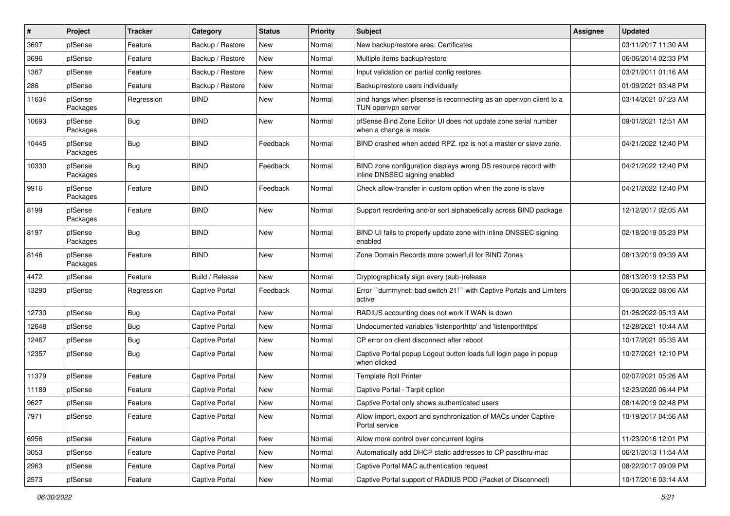| #     | Project             | <b>Tracker</b> | Category              | <b>Status</b> | <b>Priority</b> | Subject                                                                                         | Assignee | <b>Updated</b>      |
|-------|---------------------|----------------|-----------------------|---------------|-----------------|-------------------------------------------------------------------------------------------------|----------|---------------------|
| 3697  | pfSense             | Feature        | Backup / Restore      | New           | Normal          | New backup/restore area: Certificates                                                           |          | 03/11/2017 11:30 AM |
| 3696  | pfSense             | Feature        | Backup / Restore      | New           | Normal          | Multiple items backup/restore                                                                   |          | 06/06/2014 02:33 PM |
| 1367  | pfSense             | Feature        | Backup / Restore      | New           | Normal          | Input validation on partial config restores                                                     |          | 03/21/2011 01:16 AM |
| 286   | pfSense             | Feature        | Backup / Restore      | New           | Normal          | Backup/restore users individually                                                               |          | 01/09/2021 03:48 PM |
| 11634 | pfSense<br>Packages | Regression     | <b>BIND</b>           | New           | Normal          | bind hangs when pfsense is reconnecting as an openypn client to a<br>TUN openvpn server         |          | 03/14/2021 07:23 AM |
| 10693 | pfSense<br>Packages | Bug            | <b>BIND</b>           | New           | Normal          | pfSense Bind Zone Editor UI does not update zone serial number<br>when a change is made         |          | 09/01/2021 12:51 AM |
| 10445 | pfSense<br>Packages | Bug            | <b>BIND</b>           | Feedback      | Normal          | BIND crashed when added RPZ. rpz is not a master or slave zone.                                 |          | 04/21/2022 12:40 PM |
| 10330 | pfSense<br>Packages | Bug            | <b>BIND</b>           | Feedback      | Normal          | BIND zone configuration displays wrong DS resource record with<br>inline DNSSEC signing enabled |          | 04/21/2022 12:40 PM |
| 9916  | pfSense<br>Packages | Feature        | <b>BIND</b>           | Feedback      | Normal          | Check allow-transfer in custom option when the zone is slave                                    |          | 04/21/2022 12:40 PM |
| 8199  | pfSense<br>Packages | Feature        | <b>BIND</b>           | New           | Normal          | Support reordering and/or sort alphabetically across BIND package                               |          | 12/12/2017 02:05 AM |
| 8197  | pfSense<br>Packages | Bug            | <b>BIND</b>           | New           | Normal          | BIND UI fails to properly update zone with inline DNSSEC signing<br>enabled                     |          | 02/18/2019 05:23 PM |
| 8146  | pfSense<br>Packages | Feature        | <b>BIND</b>           | <b>New</b>    | Normal          | Zone Domain Records more powerfull for BIND Zones                                               |          | 08/13/2019 09:39 AM |
| 4472  | pfSense             | Feature        | Build / Release       | <b>New</b>    | Normal          | Cryptographically sign every (sub-)release                                                      |          | 08/13/2019 12:53 PM |
| 13290 | pfSense             | Regression     | <b>Captive Portal</b> | Feedback      | Normal          | Error "dummynet: bad switch 21!" with Captive Portals and Limiters<br>active                    |          | 06/30/2022 08:06 AM |
| 12730 | pfSense             | Bug            | <b>Captive Portal</b> | New           | Normal          | RADIUS accounting does not work if WAN is down                                                  |          | 01/26/2022 05:13 AM |
| 12648 | pfSense             | Bug            | <b>Captive Portal</b> | New           | Normal          | Undocumented variables 'listenporthttp' and 'listenporthttps'                                   |          | 12/28/2021 10:44 AM |
| 12467 | pfSense             | <b>Bug</b>     | <b>Captive Portal</b> | New           | Normal          | CP error on client disconnect after reboot                                                      |          | 10/17/2021 05:35 AM |
| 12357 | pfSense             | Bug            | <b>Captive Portal</b> | New           | Normal          | Captive Portal popup Logout button loads full login page in popup<br>when clicked               |          | 10/27/2021 12:10 PM |
| 11379 | pfSense             | Feature        | <b>Captive Portal</b> | New           | Normal          | <b>Template Roll Printer</b>                                                                    |          | 02/07/2021 05:26 AM |
| 11189 | pfSense             | Feature        | <b>Captive Portal</b> | New           | Normal          | Captive Portal - Tarpit option                                                                  |          | 12/23/2020 06:44 PM |
| 9627  | pfSense             | Feature        | <b>Captive Portal</b> | New           | Normal          | Captive Portal only shows authenticated users                                                   |          | 08/14/2019 02:48 PM |
| 7971  | pfSense             | Feature        | <b>Captive Portal</b> | New           | Normal          | Allow import, export and synchronization of MACs under Captive<br>Portal service                |          | 10/19/2017 04:56 AM |
| 6956  | pfSense             | Feature        | <b>Captive Portal</b> | New           | Normal          | Allow more control over concurrent logins                                                       |          | 11/23/2016 12:01 PM |
| 3053  | pfSense             | Feature        | Captive Portal        | New           | Normal          | Automatically add DHCP static addresses to CP passthru-mac                                      |          | 06/21/2013 11:54 AM |
| 2963  | pfSense             | Feature        | <b>Captive Portal</b> | New           | Normal          | Captive Portal MAC authentication request                                                       |          | 08/22/2017 09:09 PM |
| 2573  | pfSense             | Feature        | <b>Captive Portal</b> | New           | Normal          | Captive Portal support of RADIUS POD (Packet of Disconnect)                                     |          | 10/17/2016 03:14 AM |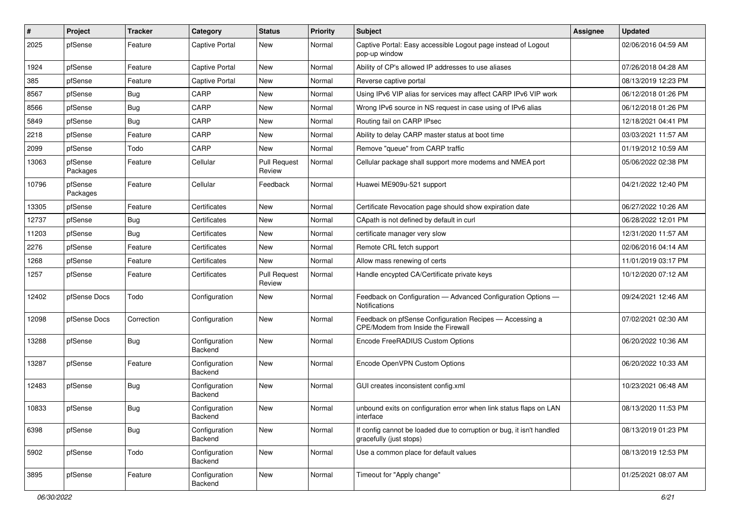| $\vert$ # | Project             | <b>Tracker</b> | Category                 | <b>Status</b>                 | <b>Priority</b> | Subject                                                                                          | Assignee | <b>Updated</b>      |
|-----------|---------------------|----------------|--------------------------|-------------------------------|-----------------|--------------------------------------------------------------------------------------------------|----------|---------------------|
| 2025      | pfSense             | Feature        | <b>Captive Portal</b>    | New                           | Normal          | Captive Portal: Easy accessible Logout page instead of Logout<br>pop-up window                   |          | 02/06/2016 04:59 AM |
| 1924      | pfSense             | Feature        | <b>Captive Portal</b>    | New                           | Normal          | Ability of CP's allowed IP addresses to use aliases                                              |          | 07/26/2018 04:28 AM |
| 385       | pfSense             | Feature        | <b>Captive Portal</b>    | New                           | Normal          | Reverse captive portal                                                                           |          | 08/13/2019 12:23 PM |
| 8567      | pfSense             | <b>Bug</b>     | CARP                     | New                           | Normal          | Using IPv6 VIP alias for services may affect CARP IPv6 VIP work                                  |          | 06/12/2018 01:26 PM |
| 8566      | pfSense             | Bug            | CARP                     | New                           | Normal          | Wrong IPv6 source in NS request in case using of IPv6 alias                                      |          | 06/12/2018 01:26 PM |
| 5849      | pfSense             | Bug            | CARP                     | New                           | Normal          | Routing fail on CARP IPsec                                                                       |          | 12/18/2021 04:41 PM |
| 2218      | pfSense             | Feature        | CARP                     | New                           | Normal          | Ability to delay CARP master status at boot time                                                 |          | 03/03/2021 11:57 AM |
| 2099      | pfSense             | Todo           | CARP                     | New                           | Normal          | Remove "queue" from CARP traffic                                                                 |          | 01/19/2012 10:59 AM |
| 13063     | pfSense<br>Packages | Feature        | Cellular                 | <b>Pull Request</b><br>Review | Normal          | Cellular package shall support more modems and NMEA port                                         |          | 05/06/2022 02:38 PM |
| 10796     | pfSense<br>Packages | Feature        | Cellular                 | Feedback                      | Normal          | Huawei ME909u-521 support                                                                        |          | 04/21/2022 12:40 PM |
| 13305     | pfSense             | Feature        | Certificates             | New                           | Normal          | Certificate Revocation page should show expiration date                                          |          | 06/27/2022 10:26 AM |
| 12737     | pfSense             | Bug            | Certificates             | New                           | Normal          | CApath is not defined by default in curl                                                         |          | 06/28/2022 12:01 PM |
| 11203     | pfSense             | Bug            | Certificates             | New                           | Normal          | certificate manager very slow                                                                    |          | 12/31/2020 11:57 AM |
| 2276      | pfSense             | Feature        | Certificates             | New                           | Normal          | Remote CRL fetch support                                                                         |          | 02/06/2016 04:14 AM |
| 1268      | pfSense             | Feature        | Certificates             | New                           | Normal          | Allow mass renewing of certs                                                                     |          | 11/01/2019 03:17 PM |
| 1257      | pfSense             | Feature        | Certificates             | <b>Pull Request</b><br>Review | Normal          | Handle encypted CA/Certificate private keys                                                      |          | 10/12/2020 07:12 AM |
| 12402     | pfSense Docs        | Todo           | Configuration            | New                           | Normal          | Feedback on Configuration - Advanced Configuration Options -<br><b>Notifications</b>             |          | 09/24/2021 12:46 AM |
| 12098     | pfSense Docs        | Correction     | Configuration            | New                           | Normal          | Feedback on pfSense Configuration Recipes - Accessing a<br>CPE/Modem from Inside the Firewall    |          | 07/02/2021 02:30 AM |
| 13288     | pfSense             | Bug            | Configuration<br>Backend | New                           | Normal          | Encode FreeRADIUS Custom Options                                                                 |          | 06/20/2022 10:36 AM |
| 13287     | pfSense             | Feature        | Configuration<br>Backend | New                           | Normal          | Encode OpenVPN Custom Options                                                                    |          | 06/20/2022 10:33 AM |
| 12483     | pfSense             | <b>Bug</b>     | Configuration<br>Backend | New                           | Normal          | GUI creates inconsistent config.xml                                                              |          | 10/23/2021 06:48 AM |
| 10833     | pfSense             | Bug            | Configuration<br>Backend | New                           | Normal          | unbound exits on configuration error when link status flaps on LAN<br>interface                  |          | 08/13/2020 11:53 PM |
| 6398      | pfSense             | <b>Bug</b>     | Configuration<br>Backend | New                           | Normal          | If config cannot be loaded due to corruption or bug, it isn't handled<br>gracefully (just stops) |          | 08/13/2019 01:23 PM |
| 5902      | pfSense             | Todo           | Configuration<br>Backend | New                           | Normal          | Use a common place for default values                                                            |          | 08/13/2019 12:53 PM |
| 3895      | pfSense             | Feature        | Configuration<br>Backend | New                           | Normal          | Timeout for "Apply change"                                                                       |          | 01/25/2021 08:07 AM |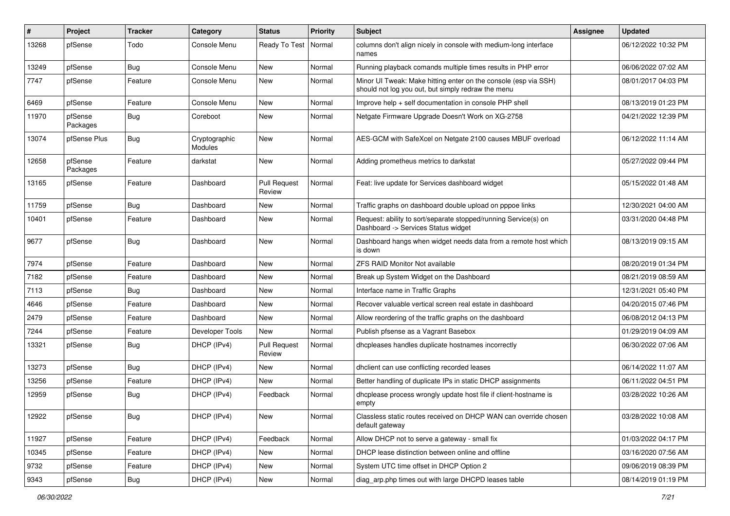| #     | Project             | <b>Tracker</b> | Category                 | <b>Status</b>                 | <b>Priority</b> | Subject                                                                                                               | <b>Assignee</b> | <b>Updated</b>      |
|-------|---------------------|----------------|--------------------------|-------------------------------|-----------------|-----------------------------------------------------------------------------------------------------------------------|-----------------|---------------------|
| 13268 | pfSense             | Todo           | Console Menu             | Ready To Test                 | Normal          | columns don't align nicely in console with medium-long interface<br>names                                             |                 | 06/12/2022 10:32 PM |
| 13249 | pfSense             | Bug            | Console Menu             | New                           | Normal          | Running playback comands multiple times results in PHP error                                                          |                 | 06/06/2022 07:02 AM |
| 7747  | pfSense             | Feature        | Console Menu             | New                           | Normal          | Minor UI Tweak: Make hitting enter on the console (esp via SSH)<br>should not log you out, but simply redraw the menu |                 | 08/01/2017 04:03 PM |
| 6469  | pfSense             | Feature        | Console Menu             | New                           | Normal          | Improve help + self documentation in console PHP shell                                                                |                 | 08/13/2019 01:23 PM |
| 11970 | pfSense<br>Packages | Bug            | Coreboot                 | New                           | Normal          | Netgate Firmware Upgrade Doesn't Work on XG-2758                                                                      |                 | 04/21/2022 12:39 PM |
| 13074 | pfSense Plus        | Bug            | Cryptographic<br>Modules | New                           | Normal          | AES-GCM with SafeXcel on Netgate 2100 causes MBUF overload                                                            |                 | 06/12/2022 11:14 AM |
| 12658 | pfSense<br>Packages | Feature        | darkstat                 | New                           | Normal          | Adding prometheus metrics to darkstat                                                                                 |                 | 05/27/2022 09:44 PM |
| 13165 | pfSense             | Feature        | Dashboard                | <b>Pull Request</b><br>Review | Normal          | Feat: live update for Services dashboard widget                                                                       |                 | 05/15/2022 01:48 AM |
| 11759 | pfSense             | Bug            | Dashboard                | New                           | Normal          | Traffic graphs on dashboard double upload on pppoe links                                                              |                 | 12/30/2021 04:00 AM |
| 10401 | pfSense             | Feature        | Dashboard                | New                           | Normal          | Request: ability to sort/separate stopped/running Service(s) on<br>Dashboard -> Services Status widget                |                 | 03/31/2020 04:48 PM |
| 9677  | pfSense             | Bug            | Dashboard                | New                           | Normal          | Dashboard hangs when widget needs data from a remote host which<br>is down                                            |                 | 08/13/2019 09:15 AM |
| 7974  | pfSense             | Feature        | Dashboard                | New                           | Normal          | <b>ZFS RAID Monitor Not available</b>                                                                                 |                 | 08/20/2019 01:34 PM |
| 7182  | pfSense             | Feature        | Dashboard                | New                           | Normal          | Break up System Widget on the Dashboard                                                                               |                 | 08/21/2019 08:59 AM |
| 7113  | pfSense             | Bug            | Dashboard                | New                           | Normal          | Interface name in Traffic Graphs                                                                                      |                 | 12/31/2021 05:40 PM |
| 4646  | pfSense             | Feature        | Dashboard                | New                           | Normal          | Recover valuable vertical screen real estate in dashboard                                                             |                 | 04/20/2015 07:46 PM |
| 2479  | pfSense             | Feature        | Dashboard                | New                           | Normal          | Allow reordering of the traffic graphs on the dashboard                                                               |                 | 06/08/2012 04:13 PM |
| 7244  | pfSense             | Feature        | Developer Tools          | New                           | Normal          | Publish pfsense as a Vagrant Basebox                                                                                  |                 | 01/29/2019 04:09 AM |
| 13321 | pfSense             | Bug            | DHCP (IPv4)              | <b>Pull Request</b><br>Review | Normal          | dhcpleases handles duplicate hostnames incorrectly                                                                    |                 | 06/30/2022 07:06 AM |
| 13273 | pfSense             | Bug            | DHCP (IPv4)              | New                           | Normal          | dhclient can use conflicting recorded leases                                                                          |                 | 06/14/2022 11:07 AM |
| 13256 | pfSense             | Feature        | DHCP (IPv4)              | New                           | Normal          | Better handling of duplicate IPs in static DHCP assignments                                                           |                 | 06/11/2022 04:51 PM |
| 12959 | pfSense             | Bug            | DHCP (IPv4)              | Feedback                      | Normal          | dhcplease process wrongly update host file if client-hostname is<br>empty                                             |                 | 03/28/2022 10:26 AM |
| 12922 | pfSense             | <b>Bug</b>     | DHCP (IPv4)              | New                           | Normal          | Classless static routes received on DHCP WAN can override chosen<br>default gateway                                   |                 | 03/28/2022 10:08 AM |
| 11927 | pfSense             | Feature        | DHCP (IPv4)              | Feedback                      | Normal          | Allow DHCP not to serve a gateway - small fix                                                                         |                 | 01/03/2022 04:17 PM |
| 10345 | pfSense             | Feature        | DHCP (IPv4)              | New                           | Normal          | DHCP lease distinction between online and offline                                                                     |                 | 03/16/2020 07:56 AM |
| 9732  | pfSense             | Feature        | DHCP (IPv4)              | New                           | Normal          | System UTC time offset in DHCP Option 2                                                                               |                 | 09/06/2019 08:39 PM |
| 9343  | pfSense             | <b>Bug</b>     | DHCP (IPv4)              | New                           | Normal          | diag_arp.php times out with large DHCPD leases table                                                                  |                 | 08/14/2019 01:19 PM |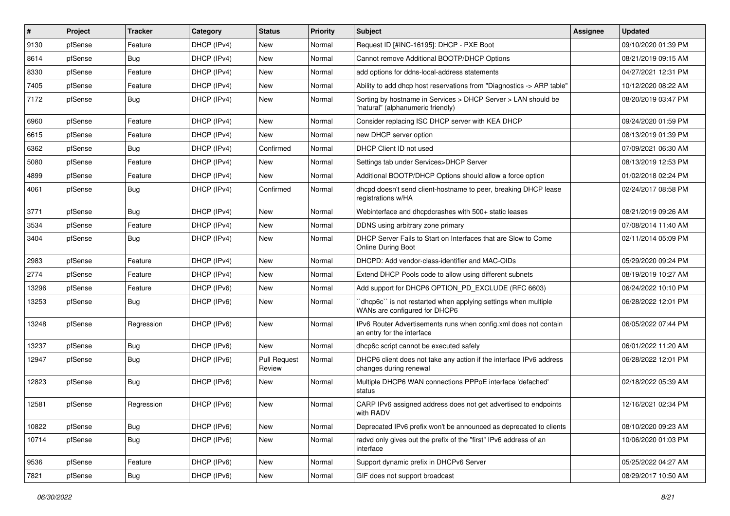| #     | Project | <b>Tracker</b> | Category    | <b>Status</b>                 | <b>Priority</b> | <b>Subject</b>                                                                                     | <b>Assignee</b> | <b>Updated</b>      |
|-------|---------|----------------|-------------|-------------------------------|-----------------|----------------------------------------------------------------------------------------------------|-----------------|---------------------|
| 9130  | pfSense | Feature        | DHCP (IPv4) | New                           | Normal          | Request ID [#INC-16195]: DHCP - PXE Boot                                                           |                 | 09/10/2020 01:39 PM |
| 8614  | pfSense | Bug            | DHCP (IPv4) | New                           | Normal          | Cannot remove Additional BOOTP/DHCP Options                                                        |                 | 08/21/2019 09:15 AM |
| 8330  | pfSense | Feature        | DHCP (IPv4) | New                           | Normal          | add options for ddns-local-address statements                                                      |                 | 04/27/2021 12:31 PM |
| 7405  | pfSense | Feature        | DHCP (IPv4) | New                           | Normal          | Ability to add dhcp host reservations from "Diagnostics -> ARP table"                              |                 | 10/12/2020 08:22 AM |
| 7172  | pfSense | Bug            | DHCP (IPv4) | New                           | Normal          | Sorting by hostname in Services > DHCP Server > LAN should be<br>"natural" (alphanumeric friendly) |                 | 08/20/2019 03:47 PM |
| 6960  | pfSense | Feature        | DHCP (IPv4) | New                           | Normal          | Consider replacing ISC DHCP server with KEA DHCP                                                   |                 | 09/24/2020 01:59 PM |
| 6615  | pfSense | Feature        | DHCP (IPv4) | New                           | Normal          | new DHCP server option                                                                             |                 | 08/13/2019 01:39 PM |
| 6362  | pfSense | Bug            | DHCP (IPv4) | Confirmed                     | Normal          | DHCP Client ID not used                                                                            |                 | 07/09/2021 06:30 AM |
| 5080  | pfSense | Feature        | DHCP (IPv4) | New                           | Normal          | Settings tab under Services>DHCP Server                                                            |                 | 08/13/2019 12:53 PM |
| 4899  | pfSense | Feature        | DHCP (IPv4) | New                           | Normal          | Additional BOOTP/DHCP Options should allow a force option                                          |                 | 01/02/2018 02:24 PM |
| 4061  | pfSense | Bug            | DHCP (IPv4) | Confirmed                     | Normal          | dhcpd doesn't send client-hostname to peer, breaking DHCP lease<br>registrations w/HA              |                 | 02/24/2017 08:58 PM |
| 3771  | pfSense | Bug            | DHCP (IPv4) | New                           | Normal          | Webinterface and dhcpdcrashes with 500+ static leases                                              |                 | 08/21/2019 09:26 AM |
| 3534  | pfSense | Feature        | DHCP (IPv4) | New                           | Normal          | DDNS using arbitrary zone primary                                                                  |                 | 07/08/2014 11:40 AM |
| 3404  | pfSense | Bug            | DHCP (IPv4) | New                           | Normal          | DHCP Server Fails to Start on Interfaces that are Slow to Come<br><b>Online During Boot</b>        |                 | 02/11/2014 05:09 PM |
| 2983  | pfSense | Feature        | DHCP (IPv4) | New                           | Normal          | DHCPD: Add vendor-class-identifier and MAC-OIDs                                                    |                 | 05/29/2020 09:24 PM |
| 2774  | pfSense | Feature        | DHCP (IPv4) | New                           | Normal          | Extend DHCP Pools code to allow using different subnets                                            |                 | 08/19/2019 10:27 AM |
| 13296 | pfSense | Feature        | DHCP (IPv6) | New                           | Normal          | Add support for DHCP6 OPTION_PD_EXCLUDE (RFC 6603)                                                 |                 | 06/24/2022 10:10 PM |
| 13253 | pfSense | Bug            | DHCP (IPv6) | New                           | Normal          | dhcp6c" is not restarted when applying settings when multiple<br>WANs are configured for DHCP6     |                 | 06/28/2022 12:01 PM |
| 13248 | pfSense | Regression     | DHCP (IPv6) | New                           | Normal          | IPv6 Router Advertisements runs when config.xml does not contain<br>an entry for the interface     |                 | 06/05/2022 07:44 PM |
| 13237 | pfSense | Bug            | DHCP (IPv6) | New                           | Normal          | dhcp6c script cannot be executed safely                                                            |                 | 06/01/2022 11:20 AM |
| 12947 | pfSense | Bug            | DHCP (IPv6) | <b>Pull Request</b><br>Review | Normal          | DHCP6 client does not take any action if the interface IPv6 address<br>changes during renewal      |                 | 06/28/2022 12:01 PM |
| 12823 | pfSense | Bug            | DHCP (IPv6) | New                           | Normal          | Multiple DHCP6 WAN connections PPPoE interface 'defached'<br>status                                |                 | 02/18/2022 05:39 AM |
| 12581 | pfSense | Regression     | DHCP (IPv6) | New                           | Normal          | CARP IPv6 assigned address does not get advertised to endpoints<br>with RADV                       |                 | 12/16/2021 02:34 PM |
| 10822 | pfSense | <b>Bug</b>     | DHCP (IPv6) | New                           | Normal          | Deprecated IPv6 prefix won't be announced as deprecated to clients                                 |                 | 08/10/2020 09:23 AM |
| 10714 | pfSense | <b>Bug</b>     | DHCP (IPv6) | New                           | Normal          | radvd only gives out the prefix of the "first" IPv6 address of an<br>interface                     |                 | 10/06/2020 01:03 PM |
| 9536  | pfSense | Feature        | DHCP (IPv6) | New                           | Normal          | Support dynamic prefix in DHCPv6 Server                                                            |                 | 05/25/2022 04:27 AM |
| 7821  | pfSense | Bug            | DHCP (IPv6) | New                           | Normal          | GIF does not support broadcast                                                                     |                 | 08/29/2017 10:50 AM |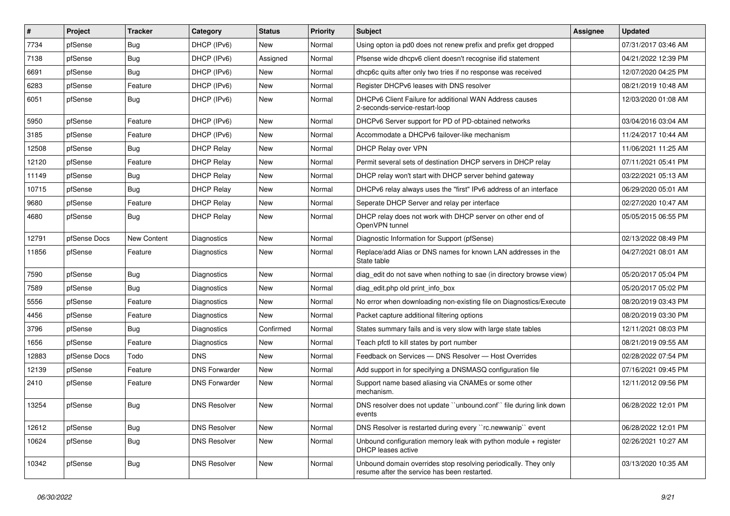| $\sharp$ | Project      | <b>Tracker</b> | Category             | <b>Status</b> | Priority | <b>Subject</b>                                                                                                  | <b>Assignee</b> | <b>Updated</b>      |
|----------|--------------|----------------|----------------------|---------------|----------|-----------------------------------------------------------------------------------------------------------------|-----------------|---------------------|
| 7734     | pfSense      | <b>Bug</b>     | DHCP (IPv6)          | <b>New</b>    | Normal   | Using opton ia pd0 does not renew prefix and prefix get dropped                                                 |                 | 07/31/2017 03:46 AM |
| 7138     | pfSense      | Bug            | DHCP (IPv6)          | Assigned      | Normal   | Pfsense wide dhcpv6 client doesn't recognise ifid statement                                                     |                 | 04/21/2022 12:39 PM |
| 6691     | pfSense      | <b>Bug</b>     | DHCP (IPv6)          | New           | Normal   | dhcp6c quits after only two tries if no response was received                                                   |                 | 12/07/2020 04:25 PM |
| 6283     | pfSense      | Feature        | DHCP (IPv6)          | <b>New</b>    | Normal   | Register DHCPv6 leases with DNS resolver                                                                        |                 | 08/21/2019 10:48 AM |
| 6051     | pfSense      | <b>Bug</b>     | DHCP (IPv6)          | <b>New</b>    | Normal   | DHCPv6 Client Failure for additional WAN Address causes<br>2-seconds-service-restart-loop                       |                 | 12/03/2020 01:08 AM |
| 5950     | pfSense      | Feature        | DHCP (IPv6)          | New           | Normal   | DHCPv6 Server support for PD of PD-obtained networks                                                            |                 | 03/04/2016 03:04 AM |
| 3185     | pfSense      | Feature        | DHCP (IPv6)          | New           | Normal   | Accommodate a DHCPv6 failover-like mechanism                                                                    |                 | 11/24/2017 10:44 AM |
| 12508    | pfSense      | Bug            | <b>DHCP Relay</b>    | New           | Normal   | <b>DHCP Relay over VPN</b>                                                                                      |                 | 11/06/2021 11:25 AM |
| 12120    | pfSense      | Feature        | <b>DHCP Relay</b>    | New           | Normal   | Permit several sets of destination DHCP servers in DHCP relay                                                   |                 | 07/11/2021 05:41 PM |
| 11149    | pfSense      | Bug            | <b>DHCP Relay</b>    | New           | Normal   | DHCP relay won't start with DHCP server behind gateway                                                          |                 | 03/22/2021 05:13 AM |
| 10715    | pfSense      | Bug            | <b>DHCP Relay</b>    | New           | Normal   | DHCPv6 relay always uses the "first" IPv6 address of an interface                                               |                 | 06/29/2020 05:01 AM |
| 9680     | pfSense      | Feature        | <b>DHCP Relay</b>    | New           | Normal   | Seperate DHCP Server and relay per interface                                                                    |                 | 02/27/2020 10:47 AM |
| 4680     | pfSense      | <b>Bug</b>     | <b>DHCP Relay</b>    | New           | Normal   | DHCP relay does not work with DHCP server on other end of<br>OpenVPN tunnel                                     |                 | 05/05/2015 06:55 PM |
| 12791    | pfSense Docs | New Content    | Diagnostics          | <b>New</b>    | Normal   | Diagnostic Information for Support (pfSense)                                                                    |                 | 02/13/2022 08:49 PM |
| 11856    | pfSense      | Feature        | Diagnostics          | New           | Normal   | Replace/add Alias or DNS names for known LAN addresses in the<br>State table                                    |                 | 04/27/2021 08:01 AM |
| 7590     | pfSense      | <b>Bug</b>     | Diagnostics          | New           | Normal   | diag edit do not save when nothing to sae (in directory browse view)                                            |                 | 05/20/2017 05:04 PM |
| 7589     | pfSense      | <b>Bug</b>     | Diagnostics          | New           | Normal   | diag_edit.php old print_info_box                                                                                |                 | 05/20/2017 05:02 PM |
| 5556     | pfSense      | Feature        | Diagnostics          | New           | Normal   | No error when downloading non-existing file on Diagnostics/Execute                                              |                 | 08/20/2019 03:43 PM |
| 4456     | pfSense      | Feature        | Diagnostics          | New           | Normal   | Packet capture additional filtering options                                                                     |                 | 08/20/2019 03:30 PM |
| 3796     | pfSense      | <b>Bug</b>     | Diagnostics          | Confirmed     | Normal   | States summary fails and is very slow with large state tables                                                   |                 | 12/11/2021 08:03 PM |
| 1656     | pfSense      | Feature        | Diagnostics          | New           | Normal   | Teach pfctl to kill states by port number                                                                       |                 | 08/21/2019 09:55 AM |
| 12883    | pfSense Docs | Todo           | <b>DNS</b>           | New           | Normal   | Feedback on Services - DNS Resolver - Host Overrides                                                            |                 | 02/28/2022 07:54 PM |
| 12139    | pfSense      | Feature        | <b>DNS Forwarder</b> | New           | Normal   | Add support in for specifying a DNSMASQ configuration file                                                      |                 | 07/16/2021 09:45 PM |
| 2410     | pfSense      | Feature        | <b>DNS Forwarder</b> | New           | Normal   | Support name based aliasing via CNAMEs or some other<br>mechanism.                                              |                 | 12/11/2012 09:56 PM |
| 13254    | pfSense      | Bug            | <b>DNS Resolver</b>  | <b>New</b>    | Normal   | DNS resolver does not update "unbound.conf" file during link down<br>events                                     |                 | 06/28/2022 12:01 PM |
| 12612    | pfSense      | Bug            | <b>DNS Resolver</b>  | New           | Normal   | DNS Resolver is restarted during every "rc.newwanip" event                                                      |                 | 06/28/2022 12:01 PM |
| 10624    | pfSense      | <b>Bug</b>     | <b>DNS Resolver</b>  | New           | Normal   | Unbound configuration memory leak with python module + register<br>DHCP leases active                           |                 | 02/26/2021 10:27 AM |
| 10342    | pfSense      | Bug            | <b>DNS Resolver</b>  | <b>New</b>    | Normal   | Unbound domain overrides stop resolving periodically. They only<br>resume after the service has been restarted. |                 | 03/13/2020 10:35 AM |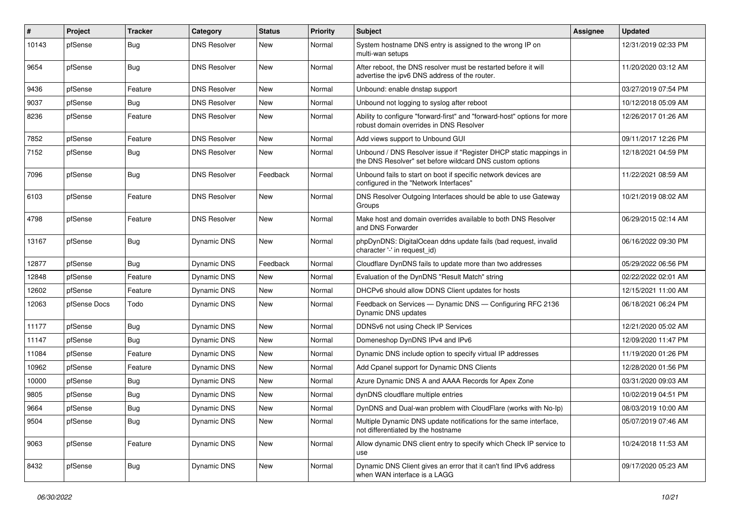| $\vert$ # | Project      | <b>Tracker</b> | Category            | <b>Status</b> | <b>Priority</b> | Subject                                                                                                                       | <b>Assignee</b> | <b>Updated</b>      |
|-----------|--------------|----------------|---------------------|---------------|-----------------|-------------------------------------------------------------------------------------------------------------------------------|-----------------|---------------------|
| 10143     | pfSense      | <b>Bug</b>     | <b>DNS Resolver</b> | New           | Normal          | System hostname DNS entry is assigned to the wrong IP on<br>multi-wan setups                                                  |                 | 12/31/2019 02:33 PM |
| 9654      | pfSense      | Bug            | <b>DNS Resolver</b> | New           | Normal          | After reboot, the DNS resolver must be restarted before it will<br>advertise the ipv6 DNS address of the router.              |                 | 11/20/2020 03:12 AM |
| 9436      | pfSense      | Feature        | <b>DNS Resolver</b> | New           | Normal          | Unbound: enable dnstap support                                                                                                |                 | 03/27/2019 07:54 PM |
| 9037      | pfSense      | <b>Bug</b>     | <b>DNS Resolver</b> | New           | Normal          | Unbound not logging to syslog after reboot                                                                                    |                 | 10/12/2018 05:09 AM |
| 8236      | pfSense      | Feature        | <b>DNS Resolver</b> | New           | Normal          | Ability to configure "forward-first" and "forward-host" options for more<br>robust domain overrides in DNS Resolver           |                 | 12/26/2017 01:26 AM |
| 7852      | pfSense      | Feature        | <b>DNS Resolver</b> | New           | Normal          | Add views support to Unbound GUI                                                                                              |                 | 09/11/2017 12:26 PM |
| 7152      | pfSense      | <b>Bug</b>     | <b>DNS Resolver</b> | New           | Normal          | Unbound / DNS Resolver issue if "Register DHCP static mappings in<br>the DNS Resolver" set before wildcard DNS custom options |                 | 12/18/2021 04:59 PM |
| 7096      | pfSense      | <b>Bug</b>     | <b>DNS Resolver</b> | Feedback      | Normal          | Unbound fails to start on boot if specific network devices are<br>configured in the "Network Interfaces"                      |                 | 11/22/2021 08:59 AM |
| 6103      | pfSense      | Feature        | <b>DNS Resolver</b> | New           | Normal          | DNS Resolver Outgoing Interfaces should be able to use Gateway<br>Groups                                                      |                 | 10/21/2019 08:02 AM |
| 4798      | pfSense      | Feature        | <b>DNS Resolver</b> | New           | Normal          | Make host and domain overrides available to both DNS Resolver<br>and DNS Forwarder                                            |                 | 06/29/2015 02:14 AM |
| 13167     | pfSense      | Bug            | <b>Dynamic DNS</b>  | New           | Normal          | phpDynDNS: DigitalOcean ddns update fails (bad request, invalid<br>character '-' in request_id)                               |                 | 06/16/2022 09:30 PM |
| 12877     | pfSense      | Bug            | Dynamic DNS         | Feedback      | Normal          | Cloudflare DynDNS fails to update more than two addresses                                                                     |                 | 05/29/2022 06:56 PM |
| 12848     | pfSense      | Feature        | Dynamic DNS         | New           | Normal          | Evaluation of the DynDNS "Result Match" string                                                                                |                 | 02/22/2022 02:01 AM |
| 12602     | pfSense      | Feature        | Dynamic DNS         | New           | Normal          | DHCPv6 should allow DDNS Client updates for hosts                                                                             |                 | 12/15/2021 11:00 AM |
| 12063     | pfSense Docs | Todo           | Dynamic DNS         | New           | Normal          | Feedback on Services — Dynamic DNS — Configuring RFC 2136<br>Dynamic DNS updates                                              |                 | 06/18/2021 06:24 PM |
| 11177     | pfSense      | <b>Bug</b>     | Dynamic DNS         | New           | Normal          | DDNSv6 not using Check IP Services                                                                                            |                 | 12/21/2020 05:02 AM |
| 11147     | pfSense      | Bug            | Dynamic DNS         | New           | Normal          | Domeneshop DynDNS IPv4 and IPv6                                                                                               |                 | 12/09/2020 11:47 PM |
| 11084     | pfSense      | Feature        | Dynamic DNS         | New           | Normal          | Dynamic DNS include option to specify virtual IP addresses                                                                    |                 | 11/19/2020 01:26 PM |
| 10962     | pfSense      | Feature        | Dynamic DNS         | New           | Normal          | Add Cpanel support for Dynamic DNS Clients                                                                                    |                 | 12/28/2020 01:56 PM |
| 10000     | pfSense      | <b>Bug</b>     | Dynamic DNS         | New           | Normal          | Azure Dynamic DNS A and AAAA Records for Apex Zone                                                                            |                 | 03/31/2020 09:03 AM |
| 9805      | pfSense      | Bug            | Dynamic DNS         | New           | Normal          | dynDNS cloudflare multiple entries                                                                                            |                 | 10/02/2019 04:51 PM |
| 9664      | pfSense      | <b>Bug</b>     | Dynamic DNS         | New           | Normal          | DynDNS and Dual-wan problem with CloudFlare (works with No-Ip)                                                                |                 | 08/03/2019 10:00 AM |
| 9504      | pfSense      | Bug            | Dynamic DNS         | New           | Normal          | Multiple Dynamic DNS update notifications for the same interface,<br>not differentiated by the hostname                       |                 | 05/07/2019 07:46 AM |
| 9063      | pfSense      | Feature        | Dynamic DNS         | New           | Normal          | Allow dynamic DNS client entry to specify which Check IP service to<br>use                                                    |                 | 10/24/2018 11:53 AM |
| 8432      | pfSense      | <b>Bug</b>     | Dynamic DNS         | New           | Normal          | Dynamic DNS Client gives an error that it can't find IPv6 address<br>when WAN interface is a LAGG                             |                 | 09/17/2020 05:23 AM |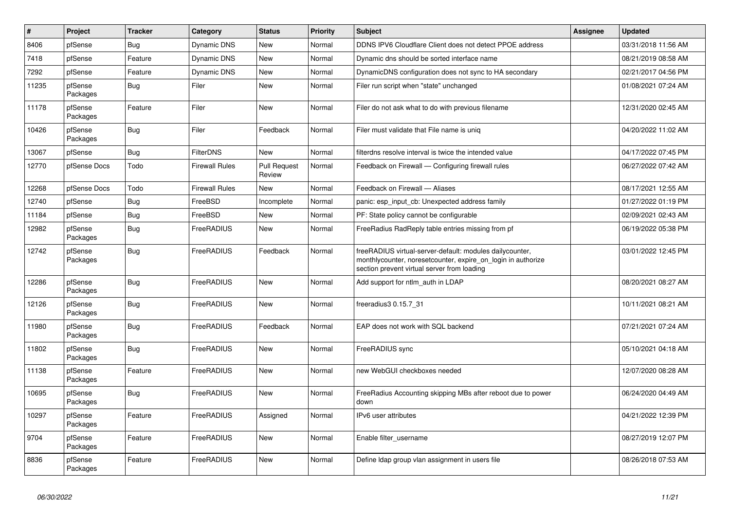| $\pmb{\#}$ | Project             | <b>Tracker</b> | Category              | <b>Status</b>                 | <b>Priority</b> | <b>Subject</b>                                                                                                                                                          | Assignee | <b>Updated</b>      |
|------------|---------------------|----------------|-----------------------|-------------------------------|-----------------|-------------------------------------------------------------------------------------------------------------------------------------------------------------------------|----------|---------------------|
| 8406       | pfSense             | <b>Bug</b>     | <b>Dynamic DNS</b>    | <b>New</b>                    | Normal          | DDNS IPV6 Cloudflare Client does not detect PPOE address                                                                                                                |          | 03/31/2018 11:56 AM |
| 7418       | pfSense             | Feature        | <b>Dynamic DNS</b>    | <b>New</b>                    | Normal          | Dynamic dns should be sorted interface name                                                                                                                             |          | 08/21/2019 08:58 AM |
| 7292       | pfSense             | Feature        | <b>Dynamic DNS</b>    | New                           | Normal          | DynamicDNS configuration does not sync to HA secondary                                                                                                                  |          | 02/21/2017 04:56 PM |
| 11235      | pfSense<br>Packages | <b>Bug</b>     | Filer                 | New                           | Normal          | Filer run script when "state" unchanged                                                                                                                                 |          | 01/08/2021 07:24 AM |
| 11178      | pfSense<br>Packages | Feature        | Filer                 | <b>New</b>                    | Normal          | Filer do not ask what to do with previous filename                                                                                                                      |          | 12/31/2020 02:45 AM |
| 10426      | pfSense<br>Packages | Bug            | Filer                 | Feedback                      | Normal          | Filer must validate that File name is uniq                                                                                                                              |          | 04/20/2022 11:02 AM |
| 13067      | pfSense             | Bug            | <b>FilterDNS</b>      | <b>New</b>                    | Normal          | filterdns resolve interval is twice the intended value                                                                                                                  |          | 04/17/2022 07:45 PM |
| 12770      | pfSense Docs        | Todo           | <b>Firewall Rules</b> | <b>Pull Request</b><br>Review | Normal          | Feedback on Firewall - Configuring firewall rules                                                                                                                       |          | 06/27/2022 07:42 AM |
| 12268      | pfSense Docs        | Todo           | <b>Firewall Rules</b> | <b>New</b>                    | Normal          | Feedback on Firewall - Aliases                                                                                                                                          |          | 08/17/2021 12:55 AM |
| 12740      | pfSense             | Bug            | FreeBSD               | Incomplete                    | Normal          | panic: esp_input_cb: Unexpected address family                                                                                                                          |          | 01/27/2022 01:19 PM |
| 11184      | pfSense             | Bug            | FreeBSD               | New                           | Normal          | PF: State policy cannot be configurable                                                                                                                                 |          | 02/09/2021 02:43 AM |
| 12982      | pfSense<br>Packages | <b>Bug</b>     | FreeRADIUS            | <b>New</b>                    | Normal          | FreeRadius RadReply table entries missing from pf                                                                                                                       |          | 06/19/2022 05:38 PM |
| 12742      | pfSense<br>Packages | <b>Bug</b>     | FreeRADIUS            | Feedback                      | Normal          | freeRADIUS virtual-server-default: modules dailycounter,<br>monthlycounter, noresetcounter, expire on login in authorize<br>section prevent virtual server from loading |          | 03/01/2022 12:45 PM |
| 12286      | pfSense<br>Packages | <b>Bug</b>     | FreeRADIUS            | <b>New</b>                    | Normal          | Add support for ntlm auth in LDAP                                                                                                                                       |          | 08/20/2021 08:27 AM |
| 12126      | pfSense<br>Packages | Bug            | FreeRADIUS            | <b>New</b>                    | Normal          | freeradius3 0.15.7_31                                                                                                                                                   |          | 10/11/2021 08:21 AM |
| 11980      | pfSense<br>Packages | <b>Bug</b>     | FreeRADIUS            | Feedback                      | Normal          | EAP does not work with SQL backend                                                                                                                                      |          | 07/21/2021 07:24 AM |
| 11802      | pfSense<br>Packages | Bug            | FreeRADIUS            | <b>New</b>                    | Normal          | FreeRADIUS sync                                                                                                                                                         |          | 05/10/2021 04:18 AM |
| 11138      | pfSense<br>Packages | Feature        | FreeRADIUS            | <b>New</b>                    | Normal          | new WebGUI checkboxes needed                                                                                                                                            |          | 12/07/2020 08:28 AM |
| 10695      | pfSense<br>Packages | <b>Bug</b>     | FreeRADIUS            | <b>New</b>                    | Normal          | FreeRadius Accounting skipping MBs after reboot due to power<br>down                                                                                                    |          | 06/24/2020 04:49 AM |
| 10297      | pfSense<br>Packages | Feature        | FreeRADIUS            | Assigned                      | Normal          | IPv6 user attributes                                                                                                                                                    |          | 04/21/2022 12:39 PM |
| 9704       | pfSense<br>Packages | Feature        | FreeRADIUS            | <b>New</b>                    | Normal          | Enable filter username                                                                                                                                                  |          | 08/27/2019 12:07 PM |
| 8836       | pfSense<br>Packages | Feature        | FreeRADIUS            | <b>New</b>                    | Normal          | Define Idap group vlan assignment in users file                                                                                                                         |          | 08/26/2018 07:53 AM |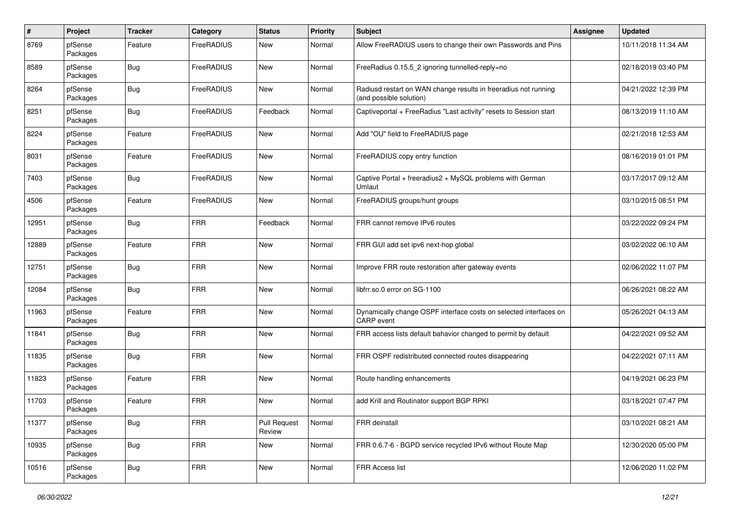| $\pmb{\#}$ | Project             | <b>Tracker</b> | Category   | <b>Status</b>                 | <b>Priority</b> | Subject                                                                                    | Assignee | <b>Updated</b>      |
|------------|---------------------|----------------|------------|-------------------------------|-----------------|--------------------------------------------------------------------------------------------|----------|---------------------|
| 8769       | pfSense<br>Packages | Feature        | FreeRADIUS | New                           | Normal          | Allow FreeRADIUS users to change their own Passwords and Pins                              |          | 10/11/2018 11:34 AM |
| 8589       | pfSense<br>Packages | <b>Bug</b>     | FreeRADIUS | New                           | Normal          | FreeRadius 0.15.5_2 ignoring tunnelled-reply=no                                            |          | 02/18/2019 03:40 PM |
| 8264       | pfSense<br>Packages | <b>Bug</b>     | FreeRADIUS | New                           | Normal          | Radiusd restart on WAN change results in freeradius not running<br>(and possible solution) |          | 04/21/2022 12:39 PM |
| 8251       | pfSense<br>Packages | <b>Bug</b>     | FreeRADIUS | Feedback                      | Normal          | Captiveportal + FreeRadius "Last activity" resets to Session start                         |          | 08/13/2019 11:10 AM |
| 8224       | pfSense<br>Packages | Feature        | FreeRADIUS | New                           | Normal          | Add "OU" field to FreeRADIUS page                                                          |          | 02/21/2018 12:53 AM |
| 8031       | pfSense<br>Packages | Feature        | FreeRADIUS | New                           | Normal          | FreeRADIUS copy entry function                                                             |          | 08/16/2019 01:01 PM |
| 7403       | pfSense<br>Packages | <b>Bug</b>     | FreeRADIUS | New                           | Normal          | Captive Portal + freeradius2 + MySQL problems with German<br>Umlaut                        |          | 03/17/2017 09:12 AM |
| 4506       | pfSense<br>Packages | Feature        | FreeRADIUS | New                           | Normal          | FreeRADIUS groups/hunt groups                                                              |          | 03/10/2015 08:51 PM |
| 12951      | pfSense<br>Packages | <b>Bug</b>     | <b>FRR</b> | Feedback                      | Normal          | FRR cannot remove IPv6 routes                                                              |          | 03/22/2022 09:24 PM |
| 12889      | pfSense<br>Packages | Feature        | <b>FRR</b> | New                           | Normal          | FRR GUI add set ipv6 next-hop global                                                       |          | 03/02/2022 06:10 AM |
| 12751      | pfSense<br>Packages | <b>Bug</b>     | <b>FRR</b> | New                           | Normal          | Improve FRR route restoration after gateway events                                         |          | 02/06/2022 11:07 PM |
| 12084      | pfSense<br>Packages | <b>Bug</b>     | <b>FRR</b> | New                           | Normal          | libfrr.so.0 error on SG-1100                                                               |          | 06/26/2021 08:22 AM |
| 11963      | pfSense<br>Packages | Feature        | <b>FRR</b> | New                           | Normal          | Dynamically change OSPF interface costs on selected interfaces on<br><b>CARP</b> event     |          | 05/26/2021 04:13 AM |
| 11841      | pfSense<br>Packages | <b>Bug</b>     | <b>FRR</b> | New                           | Normal          | FRR access lists default bahavior changed to permit by default                             |          | 04/22/2021 09:52 AM |
| 11835      | pfSense<br>Packages | <b>Bug</b>     | <b>FRR</b> | New                           | Normal          | FRR OSPF redistributed connected routes disappearing                                       |          | 04/22/2021 07:11 AM |
| 11823      | pfSense<br>Packages | Feature        | <b>FRR</b> | New                           | Normal          | Route handling enhancements                                                                |          | 04/19/2021 06:23 PM |
| 11703      | pfSense<br>Packages | Feature        | <b>FRR</b> | New                           | Normal          | add Krill and Routinator support BGP RPKI                                                  |          | 03/18/2021 07:47 PM |
| 11377      | pfSense<br>Packages | <b>Bug</b>     | <b>FRR</b> | <b>Pull Request</b><br>Review | Normal          | FRR deinstall                                                                              |          | 03/10/2021 08:21 AM |
| 10935      | pfSense<br>Packages | Bug            | <b>FRR</b> | New                           | Normal          | FRR 0.6.7-6 - BGPD service recycled IPv6 without Route Map                                 |          | 12/30/2020 05:00 PM |
| 10516      | pfSense<br>Packages | <b>Bug</b>     | <b>FRR</b> | New                           | Normal          | FRR Access list                                                                            |          | 12/06/2020 11:02 PM |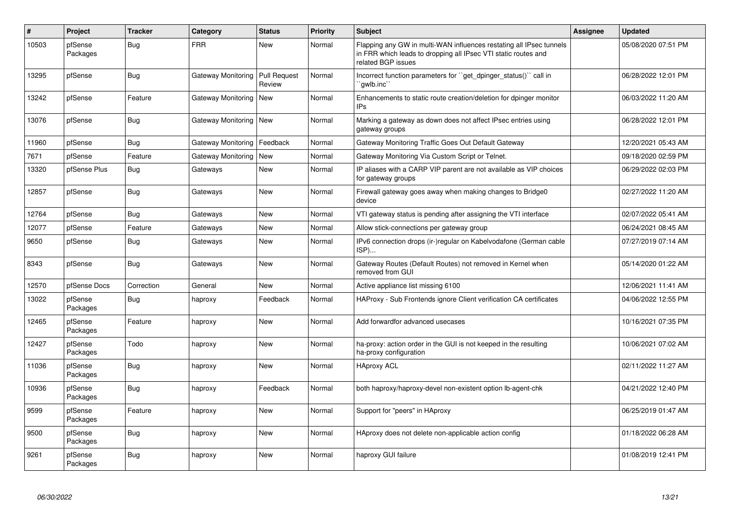| $\#$  | Project             | <b>Tracker</b> | Category           | <b>Status</b>                 | <b>Priority</b> | <b>Subject</b>                                                                                                                                              | <b>Assignee</b> | Updated             |
|-------|---------------------|----------------|--------------------|-------------------------------|-----------------|-------------------------------------------------------------------------------------------------------------------------------------------------------------|-----------------|---------------------|
| 10503 | pfSense<br>Packages | Bug            | <b>FRR</b>         | <b>New</b>                    | Normal          | Flapping any GW in multi-WAN influences restating all IPsec tunnels<br>in FRR which leads to dropping all IPsec VTI static routes and<br>related BGP issues |                 | 05/08/2020 07:51 PM |
| 13295 | pfSense             | Bug            | Gateway Monitoring | <b>Pull Request</b><br>Review | Normal          | Incorrect function parameters for "get_dpinger_status()" call in<br>`gwlb.inc``                                                                             |                 | 06/28/2022 12:01 PM |
| 13242 | pfSense             | Feature        | Gateway Monitoring | <b>New</b>                    | Normal          | Enhancements to static route creation/deletion for dpinger monitor<br>IP <sub>s</sub>                                                                       |                 | 06/03/2022 11:20 AM |
| 13076 | pfSense             | <b>Bug</b>     | Gateway Monitoring | <b>New</b>                    | Normal          | Marking a gateway as down does not affect IPsec entries using<br>gateway groups                                                                             |                 | 06/28/2022 12:01 PM |
| 11960 | pfSense             | <b>Bug</b>     | Gateway Monitoring | Feedback                      | Normal          | Gateway Monitoring Traffic Goes Out Default Gateway                                                                                                         |                 | 12/20/2021 05:43 AM |
| 7671  | pfSense             | Feature        | Gateway Monitoring | <b>New</b>                    | Normal          | Gateway Monitoring Via Custom Script or Telnet.                                                                                                             |                 | 09/18/2020 02:59 PM |
| 13320 | pfSense Plus        | <b>Bug</b>     | Gateways           | <b>New</b>                    | Normal          | IP aliases with a CARP VIP parent are not available as VIP choices<br>for gateway groups                                                                    |                 | 06/29/2022 02:03 PM |
| 12857 | pfSense             | <b>Bug</b>     | Gateways           | <b>New</b>                    | Normal          | Firewall gateway goes away when making changes to Bridge0<br>device                                                                                         |                 | 02/27/2022 11:20 AM |
| 12764 | pfSense             | Bug            | Gateways           | <b>New</b>                    | Normal          | VTI gateway status is pending after assigning the VTI interface                                                                                             |                 | 02/07/2022 05:41 AM |
| 12077 | pfSense             | Feature        | Gateways           | New                           | Normal          | Allow stick-connections per gateway group                                                                                                                   |                 | 06/24/2021 08:45 AM |
| 9650  | pfSense             | <b>Bug</b>     | Gateways           | <b>New</b>                    | Normal          | IPv6 connection drops (ir-)regular on Kabelvodafone (German cable<br>ISP)                                                                                   |                 | 07/27/2019 07:14 AM |
| 8343  | pfSense             | <b>Bug</b>     | Gateways           | <b>New</b>                    | Normal          | Gateway Routes (Default Routes) not removed in Kernel when<br>removed from GUI                                                                              |                 | 05/14/2020 01:22 AM |
| 12570 | pfSense Docs        | Correction     | General            | <b>New</b>                    | Normal          | Active appliance list missing 6100                                                                                                                          |                 | 12/06/2021 11:41 AM |
| 13022 | pfSense<br>Packages | <b>Bug</b>     | haproxy            | Feedback                      | Normal          | HAProxy - Sub Frontends ignore Client verification CA certificates                                                                                          |                 | 04/06/2022 12:55 PM |
| 12465 | pfSense<br>Packages | Feature        | haproxy            | <b>New</b>                    | Normal          | Add forwardfor advanced usecases                                                                                                                            |                 | 10/16/2021 07:35 PM |
| 12427 | pfSense<br>Packages | Todo           | haproxy            | <b>New</b>                    | Normal          | ha-proxy: action order in the GUI is not keeped in the resulting<br>ha-proxy configuration                                                                  |                 | 10/06/2021 07:02 AM |
| 11036 | pfSense<br>Packages | Bug            | haproxy            | <b>New</b>                    | Normal          | <b>HAproxy ACL</b>                                                                                                                                          |                 | 02/11/2022 11:27 AM |
| 10936 | pfSense<br>Packages | Bug            | haproxy            | Feedback                      | Normal          | both haproxy/haproxy-devel non-existent option Ib-agent-chk                                                                                                 |                 | 04/21/2022 12:40 PM |
| 9599  | pfSense<br>Packages | Feature        | haproxy            | <b>New</b>                    | Normal          | Support for "peers" in HAproxy                                                                                                                              |                 | 06/25/2019 01:47 AM |
| 9500  | pfSense<br>Packages | <b>Bug</b>     | haproxy            | New                           | Normal          | HAproxy does not delete non-applicable action config                                                                                                        |                 | 01/18/2022 06:28 AM |
| 9261  | pfSense<br>Packages | <b>Bug</b>     | haproxy            | New                           | Normal          | haproxy GUI failure                                                                                                                                         |                 | 01/08/2019 12:41 PM |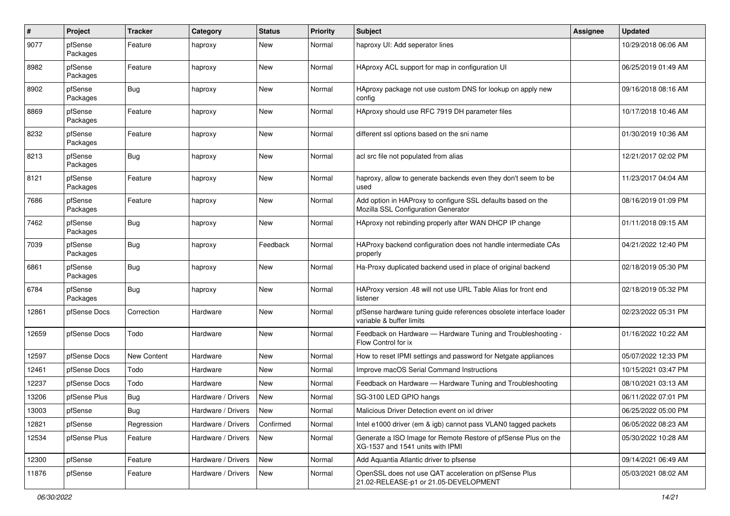| $\pmb{\#}$ | Project             | Tracker     | Category           | <b>Status</b> | <b>Priority</b> | Subject                                                                                             | <b>Assignee</b> | <b>Updated</b>      |
|------------|---------------------|-------------|--------------------|---------------|-----------------|-----------------------------------------------------------------------------------------------------|-----------------|---------------------|
| 9077       | pfSense<br>Packages | Feature     | haproxy            | New           | Normal          | haproxy UI: Add seperator lines                                                                     |                 | 10/29/2018 06:06 AM |
| 8982       | pfSense<br>Packages | Feature     | haproxy            | New           | Normal          | HAproxy ACL support for map in configuration UI                                                     |                 | 06/25/2019 01:49 AM |
| 8902       | pfSense<br>Packages | <b>Bug</b>  | haproxy            | New           | Normal          | HAproxy package not use custom DNS for lookup on apply new<br>config                                |                 | 09/16/2018 08:16 AM |
| 8869       | pfSense<br>Packages | Feature     | haproxy            | New           | Normal          | HAproxy should use RFC 7919 DH parameter files                                                      |                 | 10/17/2018 10:46 AM |
| 8232       | pfSense<br>Packages | Feature     | haproxy            | New           | Normal          | different ssl options based on the sni name                                                         |                 | 01/30/2019 10:36 AM |
| 8213       | pfSense<br>Packages | Bug         | haproxy            | New           | Normal          | acl src file not populated from alias                                                               |                 | 12/21/2017 02:02 PM |
| 8121       | pfSense<br>Packages | Feature     | haproxy            | New           | Normal          | haproxy, allow to generate backends even they don't seem to be<br>used                              |                 | 11/23/2017 04:04 AM |
| 7686       | pfSense<br>Packages | Feature     | haproxy            | New           | Normal          | Add option in HAProxy to configure SSL defaults based on the<br>Mozilla SSL Configuration Generator |                 | 08/16/2019 01:09 PM |
| 7462       | pfSense<br>Packages | <b>Bug</b>  | haproxy            | New           | Normal          | HAproxy not rebinding properly after WAN DHCP IP change                                             |                 | 01/11/2018 09:15 AM |
| 7039       | pfSense<br>Packages | Bug         | haproxy            | Feedback      | Normal          | HAProxy backend configuration does not handle intermediate CAs<br>properly                          |                 | 04/21/2022 12:40 PM |
| 6861       | pfSense<br>Packages | <b>Bug</b>  | haproxy            | New           | Normal          | Ha-Proxy duplicated backend used in place of original backend                                       |                 | 02/18/2019 05:30 PM |
| 6784       | pfSense<br>Packages | Bug         | haproxy            | New           | Normal          | HAProxy version .48 will not use URL Table Alias for front end<br>listener                          |                 | 02/18/2019 05:32 PM |
| 12861      | pfSense Docs        | Correction  | Hardware           | New           | Normal          | pfSense hardware tuning guide references obsolete interface loader<br>variable & buffer limits      |                 | 02/23/2022 05:31 PM |
| 12659      | pfSense Docs        | Todo        | Hardware           | New           | Normal          | Feedback on Hardware - Hardware Tuning and Troubleshooting -<br>Flow Control for ix                 |                 | 01/16/2022 10:22 AM |
| 12597      | pfSense Docs        | New Content | Hardware           | New           | Normal          | How to reset IPMI settings and password for Netgate appliances                                      |                 | 05/07/2022 12:33 PM |
| 12461      | pfSense Docs        | Todo        | Hardware           | New           | Normal          | Improve macOS Serial Command Instructions                                                           |                 | 10/15/2021 03:47 PM |
| 12237      | pfSense Docs        | Todo        | Hardware           | New           | Normal          | Feedback on Hardware - Hardware Tuning and Troubleshooting                                          |                 | 08/10/2021 03:13 AM |
| 13206      | pfSense Plus        | <b>Bug</b>  | Hardware / Drivers | New           | Normal          | SG-3100 LED GPIO hangs                                                                              |                 | 06/11/2022 07:01 PM |
| 13003      | pfSense             | Bug         | Hardware / Drivers | New           | Normal          | Malicious Driver Detection event on ixl driver                                                      |                 | 06/25/2022 05:00 PM |
| 12821      | pfSense             | Regression  | Hardware / Drivers | Confirmed     | Normal          | Intel e1000 driver (em & igb) cannot pass VLAN0 tagged packets                                      |                 | 06/05/2022 08:23 AM |
| 12534      | pfSense Plus        | Feature     | Hardware / Drivers | New           | Normal          | Generate a ISO Image for Remote Restore of pfSense Plus on the<br>XG-1537 and 1541 units with IPMI  |                 | 05/30/2022 10:28 AM |
| 12300      | pfSense             | Feature     | Hardware / Drivers | New           | Normal          | Add Aquantia Atlantic driver to pfsense                                                             |                 | 09/14/2021 06:49 AM |
| 11876      | pfSense             | Feature     | Hardware / Drivers | New           | Normal          | OpenSSL does not use QAT acceleration on pfSense Plus<br>21.02-RELEASE-p1 or 21.05-DEVELOPMENT      |                 | 05/03/2021 08:02 AM |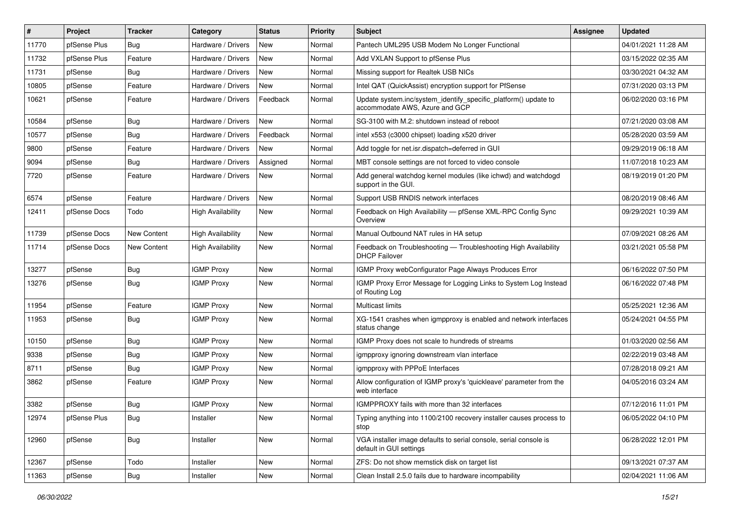| #     | Project      | <b>Tracker</b>     | Category                 | <b>Status</b> | <b>Priority</b> | <b>Subject</b>                                                                                    | <b>Assignee</b> | <b>Updated</b>      |
|-------|--------------|--------------------|--------------------------|---------------|-----------------|---------------------------------------------------------------------------------------------------|-----------------|---------------------|
| 11770 | pfSense Plus | Bug                | Hardware / Drivers       | New           | Normal          | Pantech UML295 USB Modem No Longer Functional                                                     |                 | 04/01/2021 11:28 AM |
| 11732 | pfSense Plus | Feature            | Hardware / Drivers       | <b>New</b>    | Normal          | Add VXLAN Support to pfSense Plus                                                                 |                 | 03/15/2022 02:35 AM |
| 11731 | pfSense      | Bug                | Hardware / Drivers       | New           | Normal          | Missing support for Realtek USB NICs                                                              |                 | 03/30/2021 04:32 AM |
| 10805 | pfSense      | Feature            | Hardware / Drivers       | New           | Normal          | Intel QAT (QuickAssist) encryption support for PfSense                                            |                 | 07/31/2020 03:13 PM |
| 10621 | pfSense      | Feature            | Hardware / Drivers       | Feedback      | Normal          | Update system.inc/system_identify_specific_platform() update to<br>accommodate AWS, Azure and GCP |                 | 06/02/2020 03:16 PM |
| 10584 | pfSense      | Bug                | Hardware / Drivers       | New           | Normal          | SG-3100 with M.2: shutdown instead of reboot                                                      |                 | 07/21/2020 03:08 AM |
| 10577 | pfSense      | Bug                | Hardware / Drivers       | Feedback      | Normal          | intel x553 (c3000 chipset) loading x520 driver                                                    |                 | 05/28/2020 03:59 AM |
| 9800  | pfSense      | Feature            | Hardware / Drivers       | New           | Normal          | Add toggle for net.isr.dispatch=deferred in GUI                                                   |                 | 09/29/2019 06:18 AM |
| 9094  | pfSense      | Bug                | Hardware / Drivers       | Assigned      | Normal          | MBT console settings are not forced to video console                                              |                 | 11/07/2018 10:23 AM |
| 7720  | pfSense      | Feature            | Hardware / Drivers       | New           | Normal          | Add general watchdog kernel modules (like ichwd) and watchdogd<br>support in the GUI.             |                 | 08/19/2019 01:20 PM |
| 6574  | pfSense      | Feature            | Hardware / Drivers       | New           | Normal          | Support USB RNDIS network interfaces                                                              |                 | 08/20/2019 08:46 AM |
| 12411 | pfSense Docs | Todo               | <b>High Availability</b> | New           | Normal          | Feedback on High Availability - pfSense XML-RPC Config Sync<br>Overview                           |                 | 09/29/2021 10:39 AM |
| 11739 | pfSense Docs | New Content        | <b>High Availability</b> | <b>New</b>    | Normal          | Manual Outbound NAT rules in HA setup                                                             |                 | 07/09/2021 08:26 AM |
| 11714 | pfSense Docs | <b>New Content</b> | <b>High Availability</b> | New           | Normal          | Feedback on Troubleshooting - Troubleshooting High Availability<br><b>DHCP Failover</b>           |                 | 03/21/2021 05:58 PM |
| 13277 | pfSense      | Bug                | <b>IGMP Proxy</b>        | New           | Normal          | IGMP Proxy webConfigurator Page Always Produces Error                                             |                 | 06/16/2022 07:50 PM |
| 13276 | pfSense      | Bug                | <b>IGMP Proxy</b>        | New           | Normal          | IGMP Proxy Error Message for Logging Links to System Log Instead<br>of Routing Log                |                 | 06/16/2022 07:48 PM |
| 11954 | pfSense      | Feature            | <b>IGMP Proxy</b>        | New           | Normal          | Multicast limits                                                                                  |                 | 05/25/2021 12:36 AM |
| 11953 | pfSense      | Bug                | <b>IGMP Proxy</b>        | New           | Normal          | XG-1541 crashes when igmpproxy is enabled and network interfaces<br>status change                 |                 | 05/24/2021 04:55 PM |
| 10150 | pfSense      | <b>Bug</b>         | <b>IGMP Proxy</b>        | New           | Normal          | IGMP Proxy does not scale to hundreds of streams                                                  |                 | 01/03/2020 02:56 AM |
| 9338  | pfSense      | Bug                | <b>IGMP Proxy</b>        | New           | Normal          | igmpproxy ignoring downstream vlan interface                                                      |                 | 02/22/2019 03:48 AM |
| 8711  | pfSense      | Bug                | <b>IGMP Proxy</b>        | New           | Normal          | igmpproxy with PPPoE Interfaces                                                                   |                 | 07/28/2018 09:21 AM |
| 3862  | pfSense      | Feature            | <b>IGMP Proxy</b>        | New           | Normal          | Allow configuration of IGMP proxy's 'quickleave' parameter from the<br>web interface              |                 | 04/05/2016 03:24 AM |
| 3382  | pfSense      | Bug                | <b>IGMP Proxy</b>        | New           | Normal          | IGMPPROXY fails with more than 32 interfaces                                                      |                 | 07/12/2016 11:01 PM |
| 12974 | pfSense Plus | <b>Bug</b>         | Installer                | New           | Normal          | Typing anything into 1100/2100 recovery installer causes process to<br>stop                       |                 | 06/05/2022 04:10 PM |
| 12960 | pfSense      | <b>Bug</b>         | Installer                | New           | Normal          | VGA installer image defaults to serial console, serial console is<br>default in GUI settings      |                 | 06/28/2022 12:01 PM |
| 12367 | pfSense      | Todo               | Installer                | New           | Normal          | ZFS: Do not show memstick disk on target list                                                     |                 | 09/13/2021 07:37 AM |
| 11363 | pfSense      | Bug                | Installer                | New           | Normal          | Clean Install 2.5.0 fails due to hardware incompability                                           |                 | 02/04/2021 11:06 AM |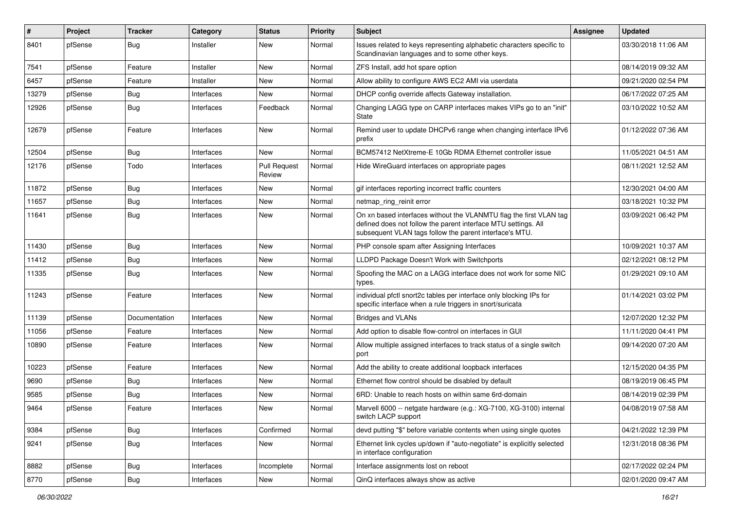| $\#$  | Project | <b>Tracker</b> | Category   | <b>Status</b>                 | <b>Priority</b> | <b>Subject</b>                                                                                                                                                                                  | Assignee | <b>Updated</b>      |
|-------|---------|----------------|------------|-------------------------------|-----------------|-------------------------------------------------------------------------------------------------------------------------------------------------------------------------------------------------|----------|---------------------|
| 8401  | pfSense | Bug            | Installer  | New                           | Normal          | Issues related to keys representing alphabetic characters specific to<br>Scandinavian languages and to some other keys.                                                                         |          | 03/30/2018 11:06 AM |
| 7541  | pfSense | Feature        | Installer  | New                           | Normal          | ZFS Install, add hot spare option                                                                                                                                                               |          | 08/14/2019 09:32 AM |
| 6457  | pfSense | Feature        | Installer  | New                           | Normal          | Allow ability to configure AWS EC2 AMI via userdata                                                                                                                                             |          | 09/21/2020 02:54 PM |
| 13279 | pfSense | Bug            | Interfaces | New                           | Normal          | DHCP config override affects Gateway installation.                                                                                                                                              |          | 06/17/2022 07:25 AM |
| 12926 | pfSense | Bug            | Interfaces | Feedback                      | Normal          | Changing LAGG type on CARP interfaces makes VIPs go to an "init"<br><b>State</b>                                                                                                                |          | 03/10/2022 10:52 AM |
| 12679 | pfSense | Feature        | Interfaces | New                           | Normal          | Remind user to update DHCPv6 range when changing interface IPv6<br>prefix                                                                                                                       |          | 01/12/2022 07:36 AM |
| 12504 | pfSense | Bug            | Interfaces | <b>New</b>                    | Normal          | BCM57412 NetXtreme-E 10Gb RDMA Ethernet controller issue                                                                                                                                        |          | 11/05/2021 04:51 AM |
| 12176 | pfSense | Todo           | Interfaces | <b>Pull Request</b><br>Review | Normal          | Hide WireGuard interfaces on appropriate pages                                                                                                                                                  |          | 08/11/2021 12:52 AM |
| 11872 | pfSense | <b>Bug</b>     | Interfaces | New                           | Normal          | gif interfaces reporting incorrect traffic counters                                                                                                                                             |          | 12/30/2021 04:00 AM |
| 11657 | pfSense | Bug            | Interfaces | New                           | Normal          | netmap_ring_reinit error                                                                                                                                                                        |          | 03/18/2021 10:32 PM |
| 11641 | pfSense | Bug            | Interfaces | New                           | Normal          | On xn based interfaces without the VLANMTU flag the first VLAN tag<br>defined does not follow the parent interface MTU settings. All<br>subsequent VLAN tags follow the parent interface's MTU. |          | 03/09/2021 06:42 PM |
| 11430 | pfSense | Bug            | Interfaces | New                           | Normal          | PHP console spam after Assigning Interfaces                                                                                                                                                     |          | 10/09/2021 10:37 AM |
| 11412 | pfSense | Bug            | Interfaces | New                           | Normal          | LLDPD Package Doesn't Work with Switchports                                                                                                                                                     |          | 02/12/2021 08:12 PM |
| 11335 | pfSense | Bug            | Interfaces | New                           | Normal          | Spoofing the MAC on a LAGG interface does not work for some NIC<br>types.                                                                                                                       |          | 01/29/2021 09:10 AM |
| 11243 | pfSense | Feature        | Interfaces | New                           | Normal          | individual pfctl snort2c tables per interface only blocking IPs for<br>specific interface when a rule triggers in snort/suricata                                                                |          | 01/14/2021 03:02 PM |
| 11139 | pfSense | Documentation  | Interfaces | New                           | Normal          | <b>Bridges and VLANs</b>                                                                                                                                                                        |          | 12/07/2020 12:32 PM |
| 11056 | pfSense | Feature        | Interfaces | New                           | Normal          | Add option to disable flow-control on interfaces in GUI                                                                                                                                         |          | 11/11/2020 04:41 PM |
| 10890 | pfSense | Feature        | Interfaces | New                           | Normal          | Allow multiple assigned interfaces to track status of a single switch<br>port                                                                                                                   |          | 09/14/2020 07:20 AM |
| 10223 | pfSense | Feature        | Interfaces | New                           | Normal          | Add the ability to create additional loopback interfaces                                                                                                                                        |          | 12/15/2020 04:35 PM |
| 9690  | pfSense | Bug            | Interfaces | New                           | Normal          | Ethernet flow control should be disabled by default                                                                                                                                             |          | 08/19/2019 06:45 PM |
| 9585  | pfSense | <b>Bug</b>     | Interfaces | New                           | Normal          | 6RD: Unable to reach hosts on within same 6rd-domain                                                                                                                                            |          | 08/14/2019 02:39 PM |
| 9464  | pfSense | Feature        | Interfaces | New                           | Normal          | Marvell 6000 -- netgate hardware (e.g.: XG-7100, XG-3100) internal<br>switch LACP support                                                                                                       |          | 04/08/2019 07:58 AM |
| 9384  | pfSense | Bug            | Interfaces | Confirmed                     | Normal          | devd putting "\$" before variable contents when using single quotes                                                                                                                             |          | 04/21/2022 12:39 PM |
| 9241  | pfSense | <b>Bug</b>     | Interfaces | New                           | Normal          | Ethernet link cycles up/down if "auto-negotiate" is explicitly selected<br>in interface configuration                                                                                           |          | 12/31/2018 08:36 PM |
| 8882  | pfSense | Bug            | Interfaces | Incomplete                    | Normal          | Interface assignments lost on reboot                                                                                                                                                            |          | 02/17/2022 02:24 PM |
| 8770  | pfSense | Bug            | Interfaces | New                           | Normal          | QinQ interfaces always show as active                                                                                                                                                           |          | 02/01/2020 09:47 AM |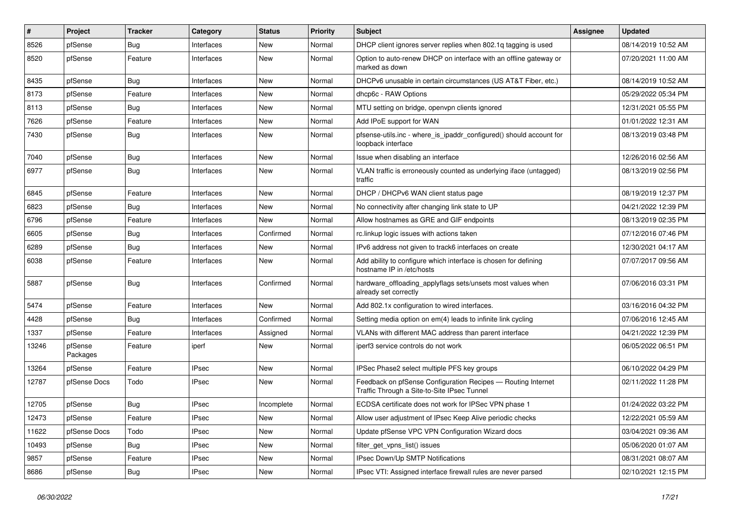| $\vert$ # | Project             | <b>Tracker</b> | Category     | <b>Status</b> | <b>Priority</b> | <b>Subject</b>                                                                                              | Assignee | <b>Updated</b>      |
|-----------|---------------------|----------------|--------------|---------------|-----------------|-------------------------------------------------------------------------------------------------------------|----------|---------------------|
| 8526      | pfSense             | Bug            | Interfaces   | New           | Normal          | DHCP client ignores server replies when 802.1q tagging is used                                              |          | 08/14/2019 10:52 AM |
| 8520      | pfSense             | Feature        | Interfaces   | New           | Normal          | Option to auto-renew DHCP on interface with an offline gateway or<br>marked as down                         |          | 07/20/2021 11:00 AM |
| 8435      | pfSense             | Bug            | Interfaces   | New           | Normal          | DHCPv6 unusable in certain circumstances (US AT&T Fiber, etc.)                                              |          | 08/14/2019 10:52 AM |
| 8173      | pfSense             | Feature        | Interfaces   | New           | Normal          | dhcp6c - RAW Options                                                                                        |          | 05/29/2022 05:34 PM |
| 8113      | pfSense             | <b>Bug</b>     | Interfaces   | New           | Normal          | MTU setting on bridge, openvpn clients ignored                                                              |          | 12/31/2021 05:55 PM |
| 7626      | pfSense             | Feature        | Interfaces   | New           | Normal          | Add IPoE support for WAN                                                                                    |          | 01/01/2022 12:31 AM |
| 7430      | pfSense             | Bug            | Interfaces   | New           | Normal          | pfsense-utils.inc - where_is_ipaddr_configured() should account for<br>loopback interface                   |          | 08/13/2019 03:48 PM |
| 7040      | pfSense             | Bug            | Interfaces   | New           | Normal          | Issue when disabling an interface                                                                           |          | 12/26/2016 02:56 AM |
| 6977      | pfSense             | Bug            | Interfaces   | New           | Normal          | VLAN traffic is erroneously counted as underlying iface (untagged)<br>traffic                               |          | 08/13/2019 02:56 PM |
| 6845      | pfSense             | Feature        | Interfaces   | New           | Normal          | DHCP / DHCPv6 WAN client status page                                                                        |          | 08/19/2019 12:37 PM |
| 6823      | pfSense             | <b>Bug</b>     | Interfaces   | New           | Normal          | No connectivity after changing link state to UP                                                             |          | 04/21/2022 12:39 PM |
| 6796      | pfSense             | Feature        | Interfaces   | New           | Normal          | Allow hostnames as GRE and GIF endpoints                                                                    |          | 08/13/2019 02:35 PM |
| 6605      | pfSense             | Bug            | Interfaces   | Confirmed     | Normal          | rc.linkup logic issues with actions taken                                                                   |          | 07/12/2016 07:46 PM |
| 6289      | pfSense             | Bug            | Interfaces   | New           | Normal          | IPv6 address not given to track6 interfaces on create                                                       |          | 12/30/2021 04:17 AM |
| 6038      | pfSense             | Feature        | Interfaces   | New           | Normal          | Add ability to configure which interface is chosen for defining<br>hostname IP in /etc/hosts                |          | 07/07/2017 09:56 AM |
| 5887      | pfSense             | Bug            | Interfaces   | Confirmed     | Normal          | hardware_offloading_applyflags sets/unsets most values when<br>already set correctly                        |          | 07/06/2016 03:31 PM |
| 5474      | pfSense             | Feature        | Interfaces   | New           | Normal          | Add 802.1x configuration to wired interfaces.                                                               |          | 03/16/2016 04:32 PM |
| 4428      | pfSense             | Bug            | Interfaces   | Confirmed     | Normal          | Setting media option on em(4) leads to infinite link cycling                                                |          | 07/06/2016 12:45 AM |
| 1337      | pfSense             | Feature        | Interfaces   | Assigned      | Normal          | VLANs with different MAC address than parent interface                                                      |          | 04/21/2022 12:39 PM |
| 13246     | pfSense<br>Packages | Feature        | iperf        | New           | Normal          | iperf3 service controls do not work                                                                         |          | 06/05/2022 06:51 PM |
| 13264     | pfSense             | Feature        | <b>IPsec</b> | New           | Normal          | IPSec Phase2 select multiple PFS key groups                                                                 |          | 06/10/2022 04:29 PM |
| 12787     | pfSense Docs        | Todo           | <b>IPsec</b> | New           | Normal          | Feedback on pfSense Configuration Recipes - Routing Internet<br>Traffic Through a Site-to-Site IPsec Tunnel |          | 02/11/2022 11:28 PM |
| 12705     | pfSense             | Bug            | <b>IPsec</b> | Incomplete    | Normal          | ECDSA certificate does not work for IPSec VPN phase 1                                                       |          | 01/24/2022 03:22 PM |
| 12473     | pfSense             | Feature        | <b>IPsec</b> | New           | Normal          | Allow user adjustment of IPsec Keep Alive periodic checks                                                   |          | 12/22/2021 05:59 AM |
| 11622     | pfSense Docs        | Todo           | <b>IPsec</b> | New           | Normal          | Update pfSense VPC VPN Configuration Wizard docs                                                            |          | 03/04/2021 09:36 AM |
| 10493     | pfSense             | <b>Bug</b>     | <b>IPsec</b> | New           | Normal          | filter get vpns list() issues                                                                               |          | 05/06/2020 01:07 AM |
| 9857      | pfSense             | Feature        | <b>IPsec</b> | New           | Normal          | IPsec Down/Up SMTP Notifications                                                                            |          | 08/31/2021 08:07 AM |
| 8686      | pfSense             | Bug            | <b>IPsec</b> | New           | Normal          | IPsec VTI: Assigned interface firewall rules are never parsed                                               |          | 02/10/2021 12:15 PM |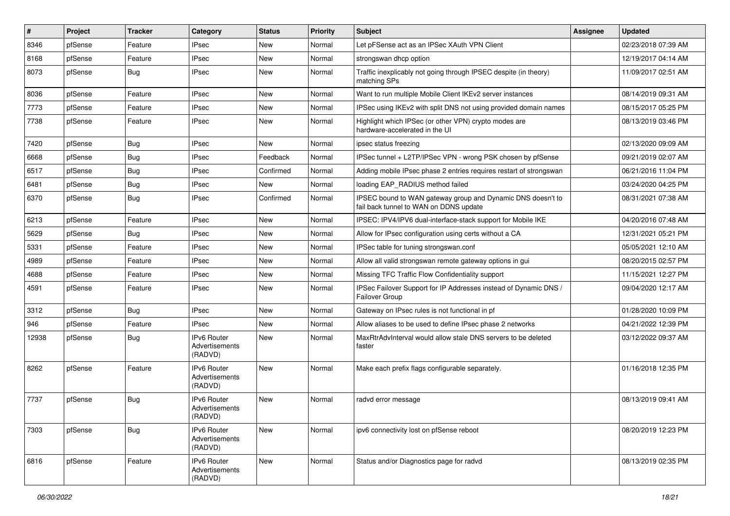| $\vert$ # | Project | <b>Tracker</b> | Category                                        | <b>Status</b> | <b>Priority</b> | Subject                                                                                               | Assignee | <b>Updated</b>      |
|-----------|---------|----------------|-------------------------------------------------|---------------|-----------------|-------------------------------------------------------------------------------------------------------|----------|---------------------|
| 8346      | pfSense | Feature        | <b>IPsec</b>                                    | New           | Normal          | Let pFSense act as an IPSec XAuth VPN Client                                                          |          | 02/23/2018 07:39 AM |
| 8168      | pfSense | Feature        | <b>IPsec</b>                                    | New           | Normal          | strongswan dhcp option                                                                                |          | 12/19/2017 04:14 AM |
| 8073      | pfSense | Bug            | <b>IPsec</b>                                    | New           | Normal          | Traffic inexplicably not going through IPSEC despite (in theory)<br>matching SPs                      |          | 11/09/2017 02:51 AM |
| 8036      | pfSense | Feature        | <b>IPsec</b>                                    | New           | Normal          | Want to run multiple Mobile Client IKEv2 server instances                                             |          | 08/14/2019 09:31 AM |
| 7773      | pfSense | Feature        | <b>IPsec</b>                                    | New           | Normal          | IPSec using IKEv2 with split DNS not using provided domain names                                      |          | 08/15/2017 05:25 PM |
| 7738      | pfSense | Feature        | <b>IPsec</b>                                    | New           | Normal          | Highlight which IPSec (or other VPN) crypto modes are<br>hardware-accelerated in the UI               |          | 08/13/2019 03:46 PM |
| 7420      | pfSense | Bug            | <b>IPsec</b>                                    | New           | Normal          | ipsec status freezing                                                                                 |          | 02/13/2020 09:09 AM |
| 6668      | pfSense | Bug            | <b>IPsec</b>                                    | Feedback      | Normal          | IPSec tunnel + L2TP/IPSec VPN - wrong PSK chosen by pfSense                                           |          | 09/21/2019 02:07 AM |
| 6517      | pfSense | Bug            | <b>IPsec</b>                                    | Confirmed     | Normal          | Adding mobile IPsec phase 2 entries requires restart of strongswan                                    |          | 06/21/2016 11:04 PM |
| 6481      | pfSense | Bug            | <b>IPsec</b>                                    | New           | Normal          | loading EAP RADIUS method failed                                                                      |          | 03/24/2020 04:25 PM |
| 6370      | pfSense | Bug            | <b>IPsec</b>                                    | Confirmed     | Normal          | IPSEC bound to WAN gateway group and Dynamic DNS doesn't to<br>fail back tunnel to WAN on DDNS update |          | 08/31/2021 07:38 AM |
| 6213      | pfSense | Feature        | <b>IPsec</b>                                    | New           | Normal          | IPSEC: IPV4/IPV6 dual-interface-stack support for Mobile IKE                                          |          | 04/20/2016 07:48 AM |
| 5629      | pfSense | Bug            | <b>IPsec</b>                                    | New           | Normal          | Allow for IPsec configuration using certs without a CA                                                |          | 12/31/2021 05:21 PM |
| 5331      | pfSense | Feature        | <b>IPsec</b>                                    | New           | Normal          | IPSec table for tuning strongswan.conf                                                                |          | 05/05/2021 12:10 AM |
| 4989      | pfSense | Feature        | <b>IPsec</b>                                    | New           | Normal          | Allow all valid strongswan remote gateway options in gui                                              |          | 08/20/2015 02:57 PM |
| 4688      | pfSense | Feature        | <b>IPsec</b>                                    | New           | Normal          | Missing TFC Traffic Flow Confidentiality support                                                      |          | 11/15/2021 12:27 PM |
| 4591      | pfSense | Feature        | <b>IPsec</b>                                    | New           | Normal          | IPSec Failover Support for IP Addresses instead of Dynamic DNS /<br>Failover Group                    |          | 09/04/2020 12:17 AM |
| 3312      | pfSense | Bug            | <b>IPsec</b>                                    | New           | Normal          | Gateway on IPsec rules is not functional in pf                                                        |          | 01/28/2020 10:09 PM |
| 946       | pfSense | Feature        | <b>IPsec</b>                                    | New           | Normal          | Allow aliases to be used to define IPsec phase 2 networks                                             |          | 04/21/2022 12:39 PM |
| 12938     | pfSense | <b>Bug</b>     | IPv6 Router<br>Advertisements<br>(RADVD)        | New           | Normal          | MaxRtrAdvInterval would allow stale DNS servers to be deleted<br>faster                               |          | 03/12/2022 09:37 AM |
| 8262      | pfSense | Feature        | <b>IPv6 Router</b><br>Advertisements<br>(RADVD) | New           | Normal          | Make each prefix flags configurable separately.                                                       |          | 01/16/2018 12:35 PM |
| 7737      | pfSense | Bug            | IPv6 Router<br>Advertisements<br>(RADVD)        | New           | Normal          | radvd error message                                                                                   |          | 08/13/2019 09:41 AM |
| 7303      | pfSense | Bug            | IPv6 Router<br>Advertisements<br>(RADVD)        | New           | Normal          | ipv6 connectivity lost on pfSense reboot                                                              |          | 08/20/2019 12:23 PM |
| 6816      | pfSense | Feature        | IPv6 Router<br>Advertisements<br>(RADVD)        | New           | Normal          | Status and/or Diagnostics page for radvd                                                              |          | 08/13/2019 02:35 PM |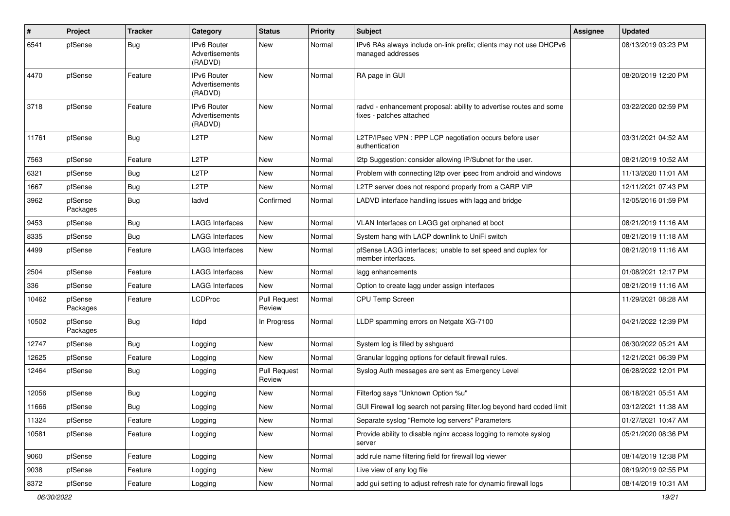| $\#$  | Project             | <b>Tracker</b> | Category                                        | <b>Status</b>                 | <b>Priority</b> | <b>Subject</b>                                                                                 | Assignee | <b>Updated</b>      |
|-------|---------------------|----------------|-------------------------------------------------|-------------------------------|-----------------|------------------------------------------------------------------------------------------------|----------|---------------------|
| 6541  | pfSense             | Bug            | <b>IPv6 Router</b><br>Advertisements<br>(RADVD) | New                           | Normal          | IPv6 RAs always include on-link prefix; clients may not use DHCPv6<br>managed addresses        |          | 08/13/2019 03:23 PM |
| 4470  | pfSense             | Feature        | IPv6 Router<br>Advertisements<br>(RADVD)        | New                           | Normal          | RA page in GUI                                                                                 |          | 08/20/2019 12:20 PM |
| 3718  | pfSense             | Feature        | IPv6 Router<br>Advertisements<br>(RADVD)        | New                           | Normal          | radvd - enhancement proposal: ability to advertise routes and some<br>fixes - patches attached |          | 03/22/2020 02:59 PM |
| 11761 | pfSense             | Bug            | L <sub>2</sub> TP                               | New                           | Normal          | L2TP/IPsec VPN : PPP LCP negotiation occurs before user<br>authentication                      |          | 03/31/2021 04:52 AM |
| 7563  | pfSense             | Feature        | L <sub>2</sub> TP                               | New                           | Normal          | 12tp Suggestion: consider allowing IP/Subnet for the user.                                     |          | 08/21/2019 10:52 AM |
| 6321  | pfSense             | Bug            | L <sub>2</sub> TP                               | New                           | Normal          | Problem with connecting I2tp over ipsec from android and windows                               |          | 11/13/2020 11:01 AM |
| 1667  | pfSense             | Bug            | L <sub>2</sub> TP                               | New                           | Normal          | L2TP server does not respond properly from a CARP VIP                                          |          | 12/11/2021 07:43 PM |
| 3962  | pfSense<br>Packages | Bug            | ladvd                                           | Confirmed                     | Normal          | LADVD interface handling issues with lagg and bridge                                           |          | 12/05/2016 01:59 PM |
| 9453  | pfSense             | Bug            | <b>LAGG Interfaces</b>                          | New                           | Normal          | VLAN Interfaces on LAGG get orphaned at boot                                                   |          | 08/21/2019 11:16 AM |
| 8335  | pfSense             | Bug            | <b>LAGG Interfaces</b>                          | New                           | Normal          | System hang with LACP downlink to UniFi switch                                                 |          | 08/21/2019 11:18 AM |
| 4499  | pfSense             | Feature        | <b>LAGG Interfaces</b>                          | New                           | Normal          | pfSense LAGG interfaces; unable to set speed and duplex for<br>member interfaces.              |          | 08/21/2019 11:16 AM |
| 2504  | pfSense             | Feature        | <b>LAGG Interfaces</b>                          | New                           | Normal          | lagg enhancements                                                                              |          | 01/08/2021 12:17 PM |
| 336   | pfSense             | Feature        | <b>LAGG Interfaces</b>                          | New                           | Normal          | Option to create lagg under assign interfaces                                                  |          | 08/21/2019 11:16 AM |
| 10462 | pfSense<br>Packages | Feature        | <b>LCDProc</b>                                  | <b>Pull Request</b><br>Review | Normal          | CPU Temp Screen                                                                                |          | 11/29/2021 08:28 AM |
| 10502 | pfSense<br>Packages | <b>Bug</b>     | <b>Ildpd</b>                                    | In Progress                   | Normal          | LLDP spamming errors on Netgate XG-7100                                                        |          | 04/21/2022 12:39 PM |
| 12747 | pfSense             | Bug            | Logging                                         | New                           | Normal          | System log is filled by sshguard                                                               |          | 06/30/2022 05:21 AM |
| 12625 | pfSense             | Feature        | Logging                                         | New                           | Normal          | Granular logging options for default firewall rules.                                           |          | 12/21/2021 06:39 PM |
| 12464 | pfSense             | Bug            | Logging                                         | <b>Pull Request</b><br>Review | Normal          | Syslog Auth messages are sent as Emergency Level                                               |          | 06/28/2022 12:01 PM |
| 12056 | pfSense             | Bug            | Logging                                         | New                           | Normal          | Filterlog says "Unknown Option %u"                                                             |          | 06/18/2021 05:51 AM |
| 11666 | pfSense             | <b>Bug</b>     | Logging                                         | New                           | Normal          | GUI Firewall log search not parsing filter.log beyond hard coded limit                         |          | 03/12/2021 11:38 AM |
| 11324 | pfSense             | Feature        | Logging                                         | New                           | Normal          | Separate syslog "Remote log servers" Parameters                                                |          | 01/27/2021 10:47 AM |
| 10581 | pfSense             | Feature        | Logging                                         | New                           | Normal          | Provide ability to disable nginx access logging to remote syslog<br>server                     |          | 05/21/2020 08:36 PM |
| 9060  | pfSense             | Feature        | Logging                                         | New                           | Normal          | add rule name filtering field for firewall log viewer                                          |          | 08/14/2019 12:38 PM |
| 9038  | pfSense             | Feature        | Logging                                         | New                           | Normal          | Live view of any log file                                                                      |          | 08/19/2019 02:55 PM |
| 8372  | pfSense             | Feature        | Logging                                         | New                           | Normal          | add gui setting to adjust refresh rate for dynamic firewall logs                               |          | 08/14/2019 10:31 AM |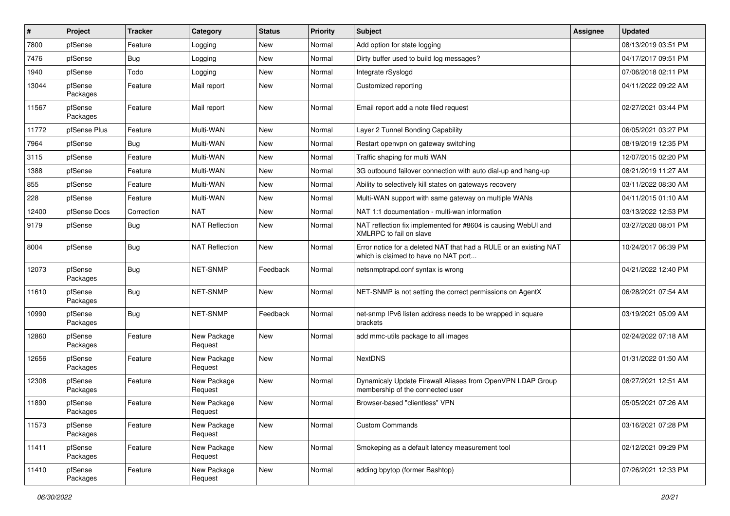| #     | Project             | <b>Tracker</b> | Category               | <b>Status</b> | <b>Priority</b> | Subject                                                                                                   | <b>Assignee</b> | <b>Updated</b>      |
|-------|---------------------|----------------|------------------------|---------------|-----------------|-----------------------------------------------------------------------------------------------------------|-----------------|---------------------|
| 7800  | pfSense             | Feature        | Logging                | New           | Normal          | Add option for state logging                                                                              |                 | 08/13/2019 03:51 PM |
| 7476  | pfSense             | Bug            | Logging                | New           | Normal          | Dirty buffer used to build log messages?                                                                  |                 | 04/17/2017 09:51 PM |
| 1940  | pfSense             | Todo           | Logging                | New           | Normal          | Integrate rSyslogd                                                                                        |                 | 07/06/2018 02:11 PM |
| 13044 | pfSense<br>Packages | Feature        | Mail report            | New           | Normal          | Customized reporting                                                                                      |                 | 04/11/2022 09:22 AM |
| 11567 | pfSense<br>Packages | Feature        | Mail report            | New           | Normal          | Email report add a note filed request                                                                     |                 | 02/27/2021 03:44 PM |
| 11772 | pfSense Plus        | Feature        | Multi-WAN              | New           | Normal          | Layer 2 Tunnel Bonding Capability                                                                         |                 | 06/05/2021 03:27 PM |
| 7964  | pfSense             | Bug            | Multi-WAN              | New           | Normal          | Restart openvpn on gateway switching                                                                      |                 | 08/19/2019 12:35 PM |
| 3115  | pfSense             | Feature        | Multi-WAN              | New           | Normal          | Traffic shaping for multi WAN                                                                             |                 | 12/07/2015 02:20 PM |
| 1388  | pfSense             | Feature        | Multi-WAN              | New           | Normal          | 3G outbound failover connection with auto dial-up and hang-up                                             |                 | 08/21/2019 11:27 AM |
| 855   | pfSense             | Feature        | Multi-WAN              | New           | Normal          | Ability to selectively kill states on gateways recovery                                                   |                 | 03/11/2022 08:30 AM |
| 228   | pfSense             | Feature        | Multi-WAN              | New           | Normal          | Multi-WAN support with same gateway on multiple WANs                                                      |                 | 04/11/2015 01:10 AM |
| 12400 | pfSense Docs        | Correction     | <b>NAT</b>             | New           | Normal          | NAT 1:1 documentation - multi-wan information                                                             |                 | 03/13/2022 12:53 PM |
| 9179  | pfSense             | Bug            | <b>NAT Reflection</b>  | New           | Normal          | NAT reflection fix implemented for #8604 is causing WebUI and<br>XMLRPC to fail on slave                  |                 | 03/27/2020 08:01 PM |
| 8004  | pfSense             | Bug            | <b>NAT Reflection</b>  | New           | Normal          | Error notice for a deleted NAT that had a RULE or an existing NAT<br>which is claimed to have no NAT port |                 | 10/24/2017 06:39 PM |
| 12073 | pfSense<br>Packages | Bug            | NET-SNMP               | Feedback      | Normal          | netsnmptrapd.conf syntax is wrong                                                                         |                 | 04/21/2022 12:40 PM |
| 11610 | pfSense<br>Packages | <b>Bug</b>     | NET-SNMP               | New           | Normal          | NET-SNMP is not setting the correct permissions on AgentX                                                 |                 | 06/28/2021 07:54 AM |
| 10990 | pfSense<br>Packages | Bug            | NET-SNMP               | Feedback      | Normal          | net-snmp IPv6 listen address needs to be wrapped in square<br>brackets                                    |                 | 03/19/2021 05:09 AM |
| 12860 | pfSense<br>Packages | Feature        | New Package<br>Request | New           | Normal          | add mmc-utils package to all images                                                                       |                 | 02/24/2022 07:18 AM |
| 12656 | pfSense<br>Packages | Feature        | New Package<br>Request | New           | Normal          | <b>NextDNS</b>                                                                                            |                 | 01/31/2022 01:50 AM |
| 12308 | pfSense<br>Packages | Feature        | New Package<br>Request | New           | Normal          | Dynamicaly Update Firewall Aliases from OpenVPN LDAP Group<br>membership of the connected user            |                 | 08/27/2021 12:51 AM |
| 11890 | pfSense<br>Packages | Feature        | New Package<br>Request | New           | Normal          | Browser-based "clientless" VPN                                                                            |                 | 05/05/2021 07:26 AM |
| 11573 | pfSense<br>Packages | Feature        | New Package<br>Request | New           | Normal          | <b>Custom Commands</b>                                                                                    |                 | 03/16/2021 07:28 PM |
| 11411 | pfSense<br>Packages | Feature        | New Package<br>Request | New           | Normal          | Smokeping as a default latency measurement tool                                                           |                 | 02/12/2021 09:29 PM |
| 11410 | pfSense<br>Packages | Feature        | New Package<br>Request | New           | Normal          | adding bpytop (former Bashtop)                                                                            |                 | 07/26/2021 12:33 PM |